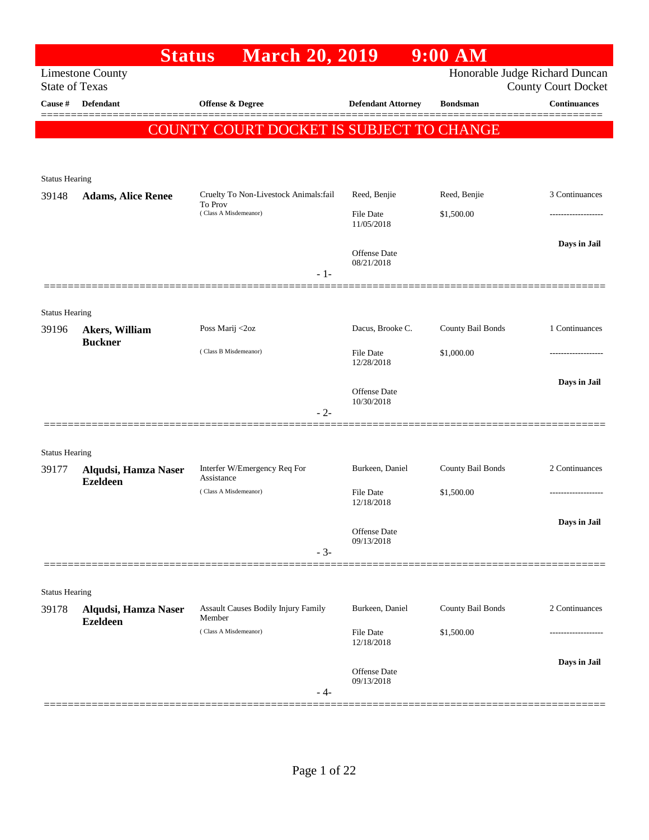|                                | <b>Status</b>                           | <b>March 20, 2019</b>                            |                                   | $9:00$ AM         |                                                              |
|--------------------------------|-----------------------------------------|--------------------------------------------------|-----------------------------------|-------------------|--------------------------------------------------------------|
| <b>State of Texas</b>          | <b>Limestone County</b>                 |                                                  |                                   |                   | Honorable Judge Richard Duncan<br><b>County Court Docket</b> |
| Cause #                        | <b>Defendant</b>                        | Offense & Degree                                 | <b>Defendant Attorney</b>         | <b>Bondsman</b>   | <b>Continuances</b>                                          |
|                                |                                         | COUNTY COURT DOCKET IS SUBJECT TO CHANGE         |                                   |                   |                                                              |
|                                |                                         |                                                  |                                   |                   |                                                              |
|                                |                                         |                                                  |                                   |                   |                                                              |
| <b>Status Hearing</b>          |                                         |                                                  |                                   |                   |                                                              |
| 39148                          | <b>Adams, Alice Renee</b>               | Cruelty To Non-Livestock Animals:fail<br>To Prov | Reed, Benjie                      | Reed, Benjie      | 3 Continuances                                               |
|                                |                                         | (Class A Misdemeanor)                            | <b>File Date</b><br>11/05/2018    | \$1,500.00        |                                                              |
|                                |                                         |                                                  |                                   |                   | Days in Jail                                                 |
|                                |                                         |                                                  | <b>Offense</b> Date<br>08/21/2018 |                   |                                                              |
|                                |                                         | $-1-$                                            |                                   |                   |                                                              |
|                                |                                         |                                                  |                                   |                   |                                                              |
| <b>Status Hearing</b><br>39196 |                                         | Poss Marij <2oz                                  | Dacus, Brooke C.                  | County Bail Bonds | 1 Continuances                                               |
|                                | Akers, William<br><b>Buckner</b>        |                                                  |                                   |                   |                                                              |
|                                |                                         | (Class B Misdemeanor)                            | <b>File Date</b><br>12/28/2018    | \$1,000.00        | .                                                            |
|                                |                                         |                                                  |                                   |                   | Days in Jail                                                 |
|                                |                                         |                                                  | Offense Date<br>10/30/2018        |                   |                                                              |
|                                |                                         | $-2-$                                            |                                   |                   |                                                              |
|                                |                                         |                                                  |                                   |                   |                                                              |
| <b>Status Hearing</b>          |                                         |                                                  |                                   |                   |                                                              |
| 39177                          | Alqudsi, Hamza Naser<br><b>Ezeldeen</b> | Interfer W/Emergency Req For<br>Assistance       | Burkeen, Daniel                   | County Bail Bonds | 2 Continuances                                               |
|                                |                                         | (Class A Misdemeanor)                            | File Date<br>12/18/2018           | \$1,500.00        |                                                              |
|                                |                                         |                                                  |                                   |                   | Days in Jail                                                 |
|                                |                                         |                                                  | Offense Date<br>09/13/2018        |                   |                                                              |
|                                |                                         | $-3-$                                            |                                   |                   |                                                              |
|                                |                                         |                                                  |                                   |                   |                                                              |
| <b>Status Hearing</b>          |                                         |                                                  |                                   |                   |                                                              |
| 39178                          | Alqudsi, Hamza Naser<br><b>Ezeldeen</b> | Assault Causes Bodily Injury Family<br>Member    | Burkeen, Daniel                   | County Bail Bonds | 2 Continuances                                               |
|                                |                                         | (Class A Misdemeanor)                            | File Date                         | \$1,500.00        |                                                              |
|                                |                                         |                                                  | 12/18/2018                        |                   |                                                              |
|                                |                                         |                                                  | Offense Date                      |                   | Days in Jail                                                 |
|                                |                                         | - 4-                                             | 09/13/2018                        |                   |                                                              |
|                                |                                         |                                                  |                                   |                   |                                                              |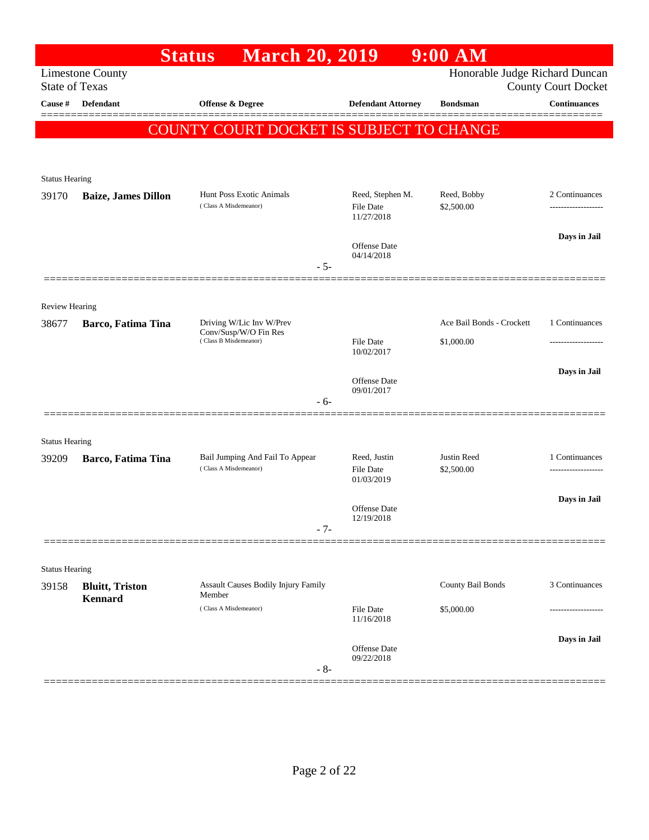|                       |                            | <b>March 20, 2019</b><br><b>Status</b>            |                                                    | $9:00$ AM                      |                            |
|-----------------------|----------------------------|---------------------------------------------------|----------------------------------------------------|--------------------------------|----------------------------|
| <b>State of Texas</b> | <b>Limestone County</b>    |                                                   |                                                    | Honorable Judge Richard Duncan | <b>County Court Docket</b> |
| Cause #               | Defendant                  | <b>Offense &amp; Degree</b>                       | <b>Defendant Attorney</b>                          | <b>Bondsman</b>                | <b>Continuances</b>        |
|                       |                            | <b>COUNTY COURT DOCKET IS SUBJECT TO CHANGE</b>   |                                                    |                                |                            |
|                       |                            |                                                   |                                                    |                                |                            |
|                       |                            |                                                   |                                                    |                                |                            |
| <b>Status Hearing</b> |                            | Hunt Poss Exotic Animals                          |                                                    | Reed, Bobby                    | 2 Continuances             |
| 39170                 | <b>Baize, James Dillon</b> | (Class A Misdemeanor)                             | Reed, Stephen M.<br><b>File Date</b><br>11/27/2018 | \$2,500.00                     |                            |
|                       |                            |                                                   | Offense Date                                       |                                | Days in Jail               |
|                       |                            | $-5-$                                             | 04/14/2018                                         |                                |                            |
|                       |                            |                                                   |                                                    |                                |                            |
| Review Hearing        |                            |                                                   |                                                    |                                |                            |
| 38677                 | Barco, Fatima Tina         | Driving W/Lic Inv W/Prev<br>Conv/Susp/W/O Fin Res |                                                    | Ace Bail Bonds - Crockett      | 1 Continuances             |
|                       |                            | (Class B Misdemeanor)                             | <b>File Date</b><br>10/02/2017                     | \$1,000.00                     | .                          |
|                       |                            |                                                   |                                                    |                                | Days in Jail               |
|                       |                            |                                                   | <b>Offense</b> Date<br>09/01/2017                  |                                |                            |
|                       |                            | $-6-$                                             |                                                    |                                |                            |
| <b>Status Hearing</b> |                            |                                                   |                                                    |                                |                            |
| 39209                 | Barco, Fatima Tina         | Bail Jumping And Fail To Appear                   | Reed, Justin                                       | Justin Reed                    | 1 Continuances             |
|                       |                            | (Class A Misdemeanor)                             | <b>File Date</b><br>01/03/2019                     | \$2,500.00                     |                            |
|                       |                            |                                                   | Offense Date                                       |                                | Days in Jail               |
|                       |                            | $-7-$                                             | 12/19/2018                                         |                                |                            |
|                       |                            |                                                   |                                                    |                                |                            |
| <b>Status Hearing</b> |                            |                                                   |                                                    |                                |                            |
| 39158                 | <b>Bluitt</b> , Triston    | Assault Causes Bodily Injury Family<br>Member     |                                                    | County Bail Bonds              | 3 Continuances             |
|                       | <b>Kennard</b>             | (Class A Misdemeanor)                             | <b>File Date</b><br>11/16/2018                     | \$5,000.00                     |                            |
|                       |                            |                                                   | Offense Date                                       |                                | Days in Jail               |
|                       |                            | $-8-$                                             | 09/22/2018                                         |                                |                            |
|                       |                            |                                                   |                                                    |                                |                            |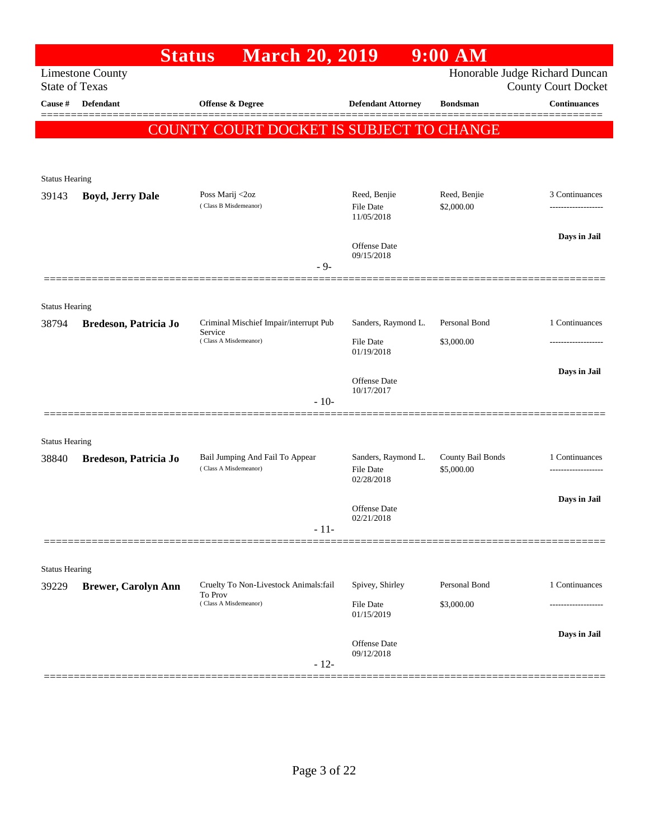|                                  | <b>Status</b>              | <b>March 20, 2019</b>                             |                                | $9:00$ AM         |                                                   |
|----------------------------------|----------------------------|---------------------------------------------------|--------------------------------|-------------------|---------------------------------------------------|
|                                  | <b>Limestone County</b>    |                                                   |                                |                   | Honorable Judge Richard Duncan                    |
| <b>State of Texas</b><br>Cause # | <b>Defendant</b>           | <b>Offense &amp; Degree</b>                       | <b>Defendant Attorney</b>      | <b>Bondsman</b>   | <b>County Court Docket</b><br><b>Continuances</b> |
|                                  |                            |                                                   |                                |                   |                                                   |
|                                  |                            | COUNTY COURT DOCKET IS SUBJECT TO CHANGE          |                                |                   |                                                   |
|                                  |                            |                                                   |                                |                   |                                                   |
| <b>Status Hearing</b>            |                            |                                                   |                                |                   |                                                   |
| 39143                            | <b>Boyd, Jerry Dale</b>    | Poss Marij <2oz                                   | Reed, Benjie                   | Reed, Benjie      | 3 Continuances                                    |
|                                  |                            | (Class B Misdemeanor)                             | <b>File Date</b><br>11/05/2018 | \$2,000.00        |                                                   |
|                                  |                            |                                                   |                                |                   | Days in Jail                                      |
|                                  |                            |                                                   | Offense Date<br>09/15/2018     |                   |                                                   |
|                                  |                            | - 9-                                              |                                |                   |                                                   |
|                                  |                            |                                                   |                                |                   |                                                   |
| <b>Status Hearing</b>            |                            |                                                   |                                |                   |                                                   |
| 38794                            | Bredeson, Patricia Jo      | Criminal Mischief Impair/interrupt Pub<br>Service | Sanders, Raymond L.            | Personal Bond     | 1 Continuances                                    |
|                                  |                            | (Class A Misdemeanor)                             | <b>File Date</b><br>01/19/2018 | \$3,000.00        |                                                   |
|                                  |                            |                                                   |                                |                   | Days in Jail                                      |
|                                  |                            |                                                   | Offense Date<br>10/17/2017     |                   |                                                   |
|                                  |                            | $-10-$                                            |                                |                   |                                                   |
|                                  |                            |                                                   |                                |                   |                                                   |
| <b>Status Hearing</b><br>38840   |                            | Bail Jumping And Fail To Appear                   | Sanders, Raymond L.            | County Bail Bonds | 1 Continuances                                    |
|                                  | Bredeson, Patricia Jo      | (Class A Misdemeanor)                             | <b>File Date</b>               | \$5,000.00        |                                                   |
|                                  |                            |                                                   | 02/28/2018                     |                   |                                                   |
|                                  |                            |                                                   | Offense Date                   |                   | Days in Jail                                      |
|                                  |                            | $-11-$                                            | 02/21/2018                     |                   |                                                   |
|                                  |                            |                                                   |                                |                   |                                                   |
| <b>Status Hearing</b>            |                            |                                                   |                                |                   |                                                   |
| 39229                            | <b>Brewer, Carolyn Ann</b> | Cruelty To Non-Livestock Animals:fail<br>To Prov  | Spivey, Shirley                | Personal Bond     | 1 Continuances                                    |
|                                  |                            | (Class A Misdemeanor)                             | File Date<br>01/15/2019        | \$3,000.00        |                                                   |
|                                  |                            |                                                   |                                |                   | Days in Jail                                      |
|                                  |                            |                                                   | Offense Date<br>09/12/2018     |                   |                                                   |
|                                  |                            | $-12-$                                            |                                |                   |                                                   |
|                                  |                            |                                                   |                                |                   |                                                   |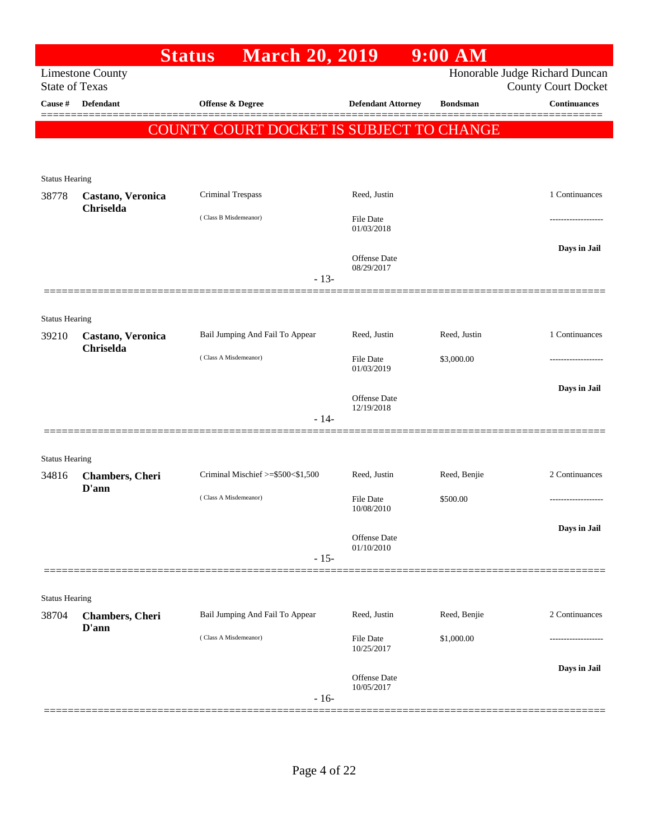|                       |                                  | <b>March 20, 2019</b><br><b>Status</b>   |                            | 9:00 AM         |                                                              |
|-----------------------|----------------------------------|------------------------------------------|----------------------------|-----------------|--------------------------------------------------------------|
| <b>State of Texas</b> | <b>Limestone County</b>          |                                          |                            |                 | Honorable Judge Richard Duncan<br><b>County Court Docket</b> |
| Cause #               | Defendant                        | Offense & Degree                         | <b>Defendant Attorney</b>  | <b>Bondsman</b> | <b>Continuances</b>                                          |
|                       |                                  | COUNTY COURT DOCKET IS SUBJECT TO CHANGE |                            |                 |                                                              |
|                       |                                  |                                          |                            |                 |                                                              |
| <b>Status Hearing</b> |                                  |                                          |                            |                 |                                                              |
| 38778                 | Castano, Veronica<br>Chriselda   | Criminal Trespass                        | Reed, Justin               |                 | 1 Continuances                                               |
|                       |                                  | (Class B Misdemeanor)                    | File Date<br>01/03/2018    |                 |                                                              |
|                       |                                  |                                          | Offense Date<br>08/29/2017 |                 | Days in Jail                                                 |
|                       |                                  | $-13-$                                   |                            |                 |                                                              |
| <b>Status Hearing</b> |                                  |                                          |                            |                 |                                                              |
| 39210                 | Castano, Veronica<br>Chriselda   | Bail Jumping And Fail To Appear          | Reed, Justin               | Reed, Justin    | 1 Continuances                                               |
|                       |                                  | (Class A Misdemeanor)                    | File Date<br>01/03/2019    | \$3,000.00      |                                                              |
|                       |                                  |                                          | Offense Date<br>12/19/2018 |                 | Days in Jail                                                 |
|                       |                                  | $-14-$                                   |                            |                 |                                                              |
| <b>Status Hearing</b> |                                  |                                          |                            |                 |                                                              |
| 34816                 | <b>Chambers</b> , Cheri<br>D'ann | Criminal Mischief >=\$500<\$1,500        | Reed, Justin               | Reed, Benjie    | 2 Continuances                                               |
|                       |                                  | (Class A Misdemeanor)                    | File Date<br>10/08/2010    | \$500.00        | -----------------                                            |
|                       |                                  |                                          | Offense Date               |                 | Days in Jail                                                 |
|                       |                                  | $-15-$                                   | 01/10/2010                 |                 |                                                              |
|                       |                                  |                                          |                            |                 |                                                              |
| <b>Status Hearing</b> |                                  |                                          |                            |                 |                                                              |
| 38704                 | <b>Chambers</b> , Cheri<br>D'ann | Bail Jumping And Fail To Appear          | Reed, Justin               | Reed, Benjie    | 2 Continuances                                               |
|                       |                                  | (Class A Misdemeanor)                    | File Date<br>10/25/2017    | \$1,000.00      | -----------------                                            |
|                       |                                  |                                          | Offense Date<br>10/05/2017 |                 | Days in Jail                                                 |
|                       |                                  | $-16-$                                   |                            |                 |                                                              |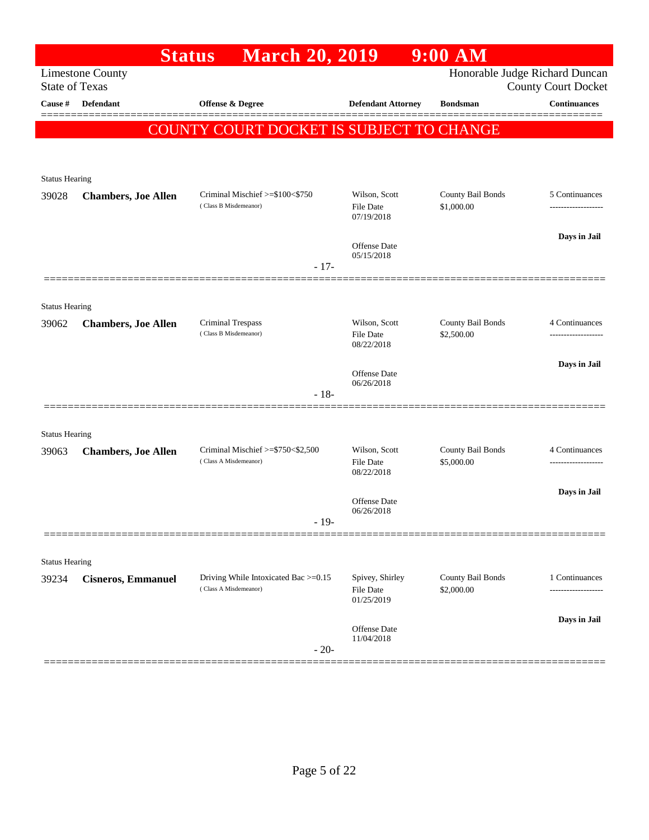|                                |                            | <b>March 20, 2019</b><br><b>Status</b>                           |                                            | $9:00$ AM                       |                                                              |
|--------------------------------|----------------------------|------------------------------------------------------------------|--------------------------------------------|---------------------------------|--------------------------------------------------------------|
| <b>State of Texas</b>          | <b>Limestone County</b>    |                                                                  |                                            |                                 | Honorable Judge Richard Duncan<br><b>County Court Docket</b> |
| Cause #                        | Defendant                  | Offense & Degree                                                 | <b>Defendant Attorney</b>                  | <b>Bondsman</b>                 | <b>Continuances</b>                                          |
|                                |                            | <b>COUNTY COURT DOCKET IS SUBJECT TO CHANGE</b>                  |                                            |                                 |                                                              |
|                                |                            |                                                                  |                                            |                                 |                                                              |
| <b>Status Hearing</b>          |                            |                                                                  |                                            |                                 |                                                              |
| 39028                          | <b>Chambers, Joe Allen</b> | Criminal Mischief >=\$100<\$750<br>(Class B Misdemeanor)         | Wilson, Scott<br>File Date<br>07/19/2018   | County Bail Bonds<br>\$1,000.00 | 5 Continuances                                               |
|                                |                            |                                                                  | Offense Date<br>05/15/2018                 |                                 | Days in Jail                                                 |
|                                |                            | $-17-$                                                           |                                            |                                 |                                                              |
| <b>Status Hearing</b>          |                            |                                                                  |                                            |                                 |                                                              |
| 39062                          | <b>Chambers, Joe Allen</b> | Criminal Trespass<br>(Class B Misdemeanor)                       | Wilson, Scott<br>File Date<br>08/22/2018   | County Bail Bonds<br>\$2,500.00 | 4 Continuances                                               |
|                                |                            |                                                                  | <b>Offense</b> Date<br>06/26/2018          |                                 | Days in Jail                                                 |
|                                |                            | $-18-$                                                           |                                            |                                 |                                                              |
|                                |                            |                                                                  |                                            |                                 |                                                              |
| <b>Status Hearing</b><br>39063 | <b>Chambers, Joe Allen</b> | Criminal Mischief $\ge$ \$750 < \$2,500<br>(Class A Misdemeanor) | Wilson, Scott<br>File Date<br>08/22/2018   | County Bail Bonds<br>\$5,000.00 | 4 Continuances                                               |
|                                |                            |                                                                  | <b>Offense</b> Date<br>06/26/2018          |                                 | Days in Jail                                                 |
|                                |                            | $-19-$                                                           |                                            |                                 |                                                              |
| <b>Status Hearing</b>          |                            |                                                                  |                                            |                                 |                                                              |
| 39234                          | <b>Cisneros, Emmanuel</b>  | Driving While Intoxicated Bac >=0.15<br>(Class A Misdemeanor)    | Spivey, Shirley<br>File Date<br>01/25/2019 | County Bail Bonds<br>\$2,000.00 | 1 Continuances<br>.                                          |
|                                |                            | $-20-$                                                           | Offense Date<br>11/04/2018                 |                                 | Days in Jail                                                 |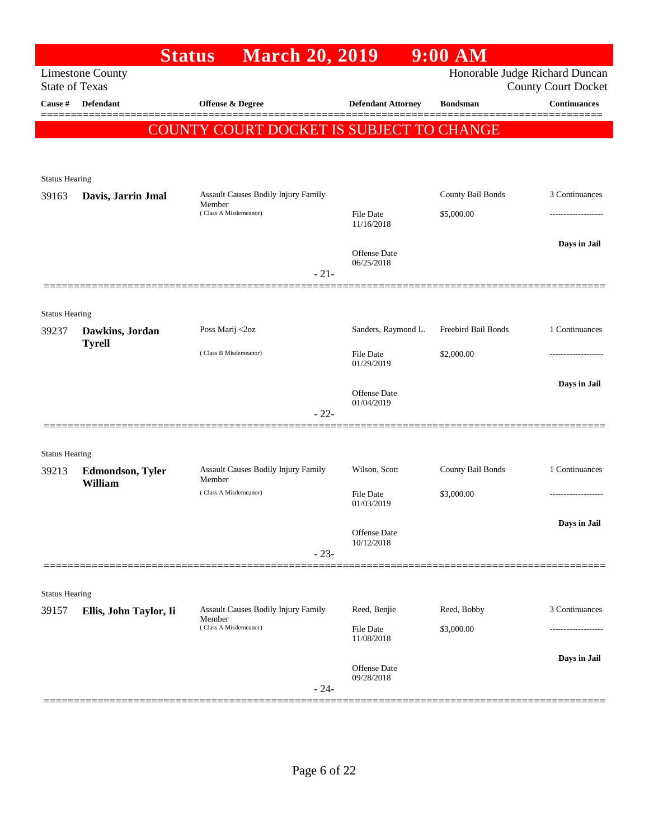|                                |                                  | <b>March 20, 2019</b><br><b>Status</b>        |                                | $9:00$ AM           |                                |
|--------------------------------|----------------------------------|-----------------------------------------------|--------------------------------|---------------------|--------------------------------|
|                                | <b>Limestone County</b>          |                                               |                                |                     | Honorable Judge Richard Duncan |
| <b>State of Texas</b>          |                                  |                                               |                                |                     | <b>County Court Docket</b>     |
| Cause #                        | Defendant                        | Offense & Degree                              | <b>Defendant Attorney</b>      | <b>Bondsman</b>     | <b>Continuances</b>            |
|                                |                                  | COUNTY COURT DOCKET IS SUBJECT TO CHANGE      |                                |                     |                                |
|                                |                                  |                                               |                                |                     |                                |
|                                |                                  |                                               |                                |                     |                                |
| <b>Status Hearing</b><br>39163 | Davis, Jarrin Jmal               | Assault Causes Bodily Injury Family           |                                | County Bail Bonds   | 3 Continuances                 |
|                                |                                  | Member<br>(Class A Misdemeanor)               | <b>File Date</b>               | \$5,000.00          |                                |
|                                |                                  |                                               | 11/16/2018                     |                     |                                |
|                                |                                  |                                               |                                |                     | Days in Jail                   |
|                                |                                  |                                               | Offense Date<br>06/25/2018     |                     |                                |
|                                |                                  | $-21-$                                        |                                |                     |                                |
|                                |                                  |                                               |                                |                     |                                |
| <b>Status Hearing</b>          |                                  |                                               |                                |                     |                                |
| 39237                          | Dawkins, Jordan<br><b>Tyrell</b> | Poss Marij <2oz                               | Sanders, Raymond L.            | Freebird Bail Bonds | 1 Continuances                 |
|                                |                                  | (Class B Misdemeanor)                         | <b>File Date</b>               | \$2,000.00          |                                |
|                                |                                  |                                               | 01/29/2019                     |                     |                                |
|                                |                                  |                                               | Offense Date                   |                     | Days in Jail                   |
|                                |                                  | $-22-$                                        | 01/04/2019                     |                     |                                |
|                                |                                  |                                               |                                |                     |                                |
| <b>Status Hearing</b>          |                                  |                                               |                                |                     |                                |
| 39213                          | <b>Edmondson, Tyler</b>          | Assault Causes Bodily Injury Family           | Wilson, Scott                  | County Bail Bonds   | 1 Continuances                 |
|                                | William                          | Member<br>(Class A Misdemeanor)               | <b>File Date</b>               | \$3,000.00          |                                |
|                                |                                  |                                               | 01/03/2019                     |                     |                                |
|                                |                                  |                                               |                                |                     | Days in Jail                   |
|                                |                                  |                                               | Offense Date<br>10/12/2018     |                     |                                |
|                                |                                  | $-23-$                                        |                                |                     |                                |
|                                |                                  |                                               |                                |                     |                                |
| <b>Status Hearing</b>          |                                  |                                               |                                |                     |                                |
| 39157                          | Ellis, John Taylor, Ii           | Assault Causes Bodily Injury Family<br>Member | Reed, Benjie                   | Reed, Bobby         | 3 Continuances                 |
|                                |                                  | (Class A Misdemeanor)                         | <b>File Date</b><br>11/08/2018 | \$3,000.00          |                                |
|                                |                                  |                                               |                                |                     | Days in Jail                   |
|                                |                                  |                                               | Offense Date<br>09/28/2018     |                     |                                |
|                                |                                  | $-24-$                                        |                                |                     |                                |
|                                |                                  |                                               |                                |                     |                                |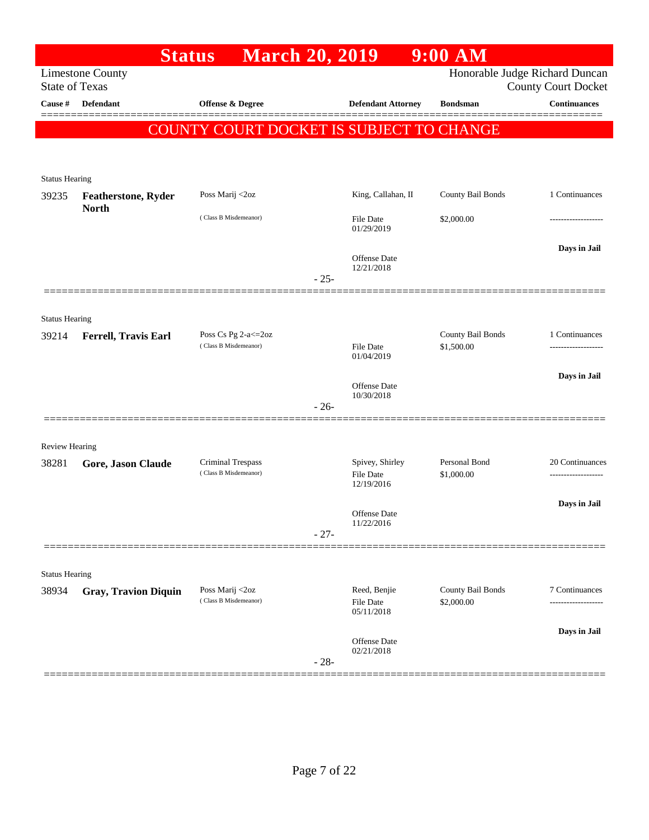|                                |                                            | <b>March 20, 2019</b><br><b>Status</b>     |        |                                     | $9:00$ AM                   |                                                              |
|--------------------------------|--------------------------------------------|--------------------------------------------|--------|-------------------------------------|-----------------------------|--------------------------------------------------------------|
| <b>State of Texas</b>          | <b>Limestone County</b>                    |                                            |        |                                     |                             | Honorable Judge Richard Duncan<br><b>County Court Docket</b> |
| Cause #                        | <b>Defendant</b>                           | Offense & Degree                           |        | <b>Defendant Attorney</b>           | <b>Bondsman</b>             | <b>Continuances</b>                                          |
|                                |                                            |                                            |        |                                     |                             |                                                              |
|                                |                                            | COUNTY COURT DOCKET IS SUBJECT TO CHANGE   |        |                                     |                             |                                                              |
|                                |                                            |                                            |        |                                     |                             |                                                              |
| <b>Status Hearing</b>          |                                            |                                            |        |                                     |                             |                                                              |
| 39235                          | <b>Featherstone, Ryder</b><br><b>North</b> | Poss Marij <2oz                            |        | King, Callahan, II                  | County Bail Bonds           | 1 Continuances                                               |
|                                |                                            | (Class B Misdemeanor)                      |        | <b>File Date</b><br>01/29/2019      | \$2,000.00                  |                                                              |
|                                |                                            |                                            |        | Offense Date                        |                             | Days in Jail                                                 |
|                                |                                            |                                            | $-25-$ | 12/21/2018                          |                             |                                                              |
|                                |                                            |                                            |        |                                     |                             |                                                              |
|                                |                                            |                                            |        |                                     |                             |                                                              |
| <b>Status Hearing</b><br>39214 | Ferrell, Travis Earl                       | Poss Cs Pg 2-a <= 20z                      |        |                                     | County Bail Bonds           | 1 Continuances                                               |
|                                |                                            | (Class B Misdemeanor)                      |        | File Date<br>01/04/2019             | \$1,500.00                  |                                                              |
|                                |                                            |                                            |        |                                     |                             | Days in Jail                                                 |
|                                |                                            |                                            |        | <b>Offense</b> Date<br>10/30/2018   |                             |                                                              |
|                                |                                            |                                            | $-26-$ |                                     |                             |                                                              |
|                                |                                            |                                            |        |                                     |                             |                                                              |
| <b>Review Hearing</b>          |                                            |                                            |        |                                     |                             |                                                              |
| 38281                          | Gore, Jason Claude                         | Criminal Trespass<br>(Class B Misdemeanor) |        | Spivey, Shirley<br><b>File Date</b> | Personal Bond<br>\$1,000.00 | 20 Continuances<br>.                                         |
|                                |                                            |                                            |        | 12/19/2016                          |                             |                                                              |
|                                |                                            |                                            |        | Offense Date                        |                             | Days in Jail                                                 |
|                                |                                            |                                            | $-27-$ | 11/22/2016                          |                             |                                                              |
|                                |                                            |                                            |        |                                     |                             |                                                              |
| <b>Status Hearing</b>          |                                            |                                            |        |                                     |                             |                                                              |
| 38934                          | <b>Gray, Travion Diquin</b>                | Poss Marij <2oz<br>(Class B Misdemeanor)   |        | Reed, Benjie                        | County Bail Bonds           | 7 Continuances                                               |
|                                |                                            |                                            |        | File Date<br>05/11/2018             | \$2,000.00                  |                                                              |
|                                |                                            |                                            |        | Offense Date                        |                             | Days in Jail                                                 |
|                                |                                            |                                            |        | 02/21/2018                          |                             |                                                              |
|                                |                                            |                                            | $-28-$ |                                     |                             |                                                              |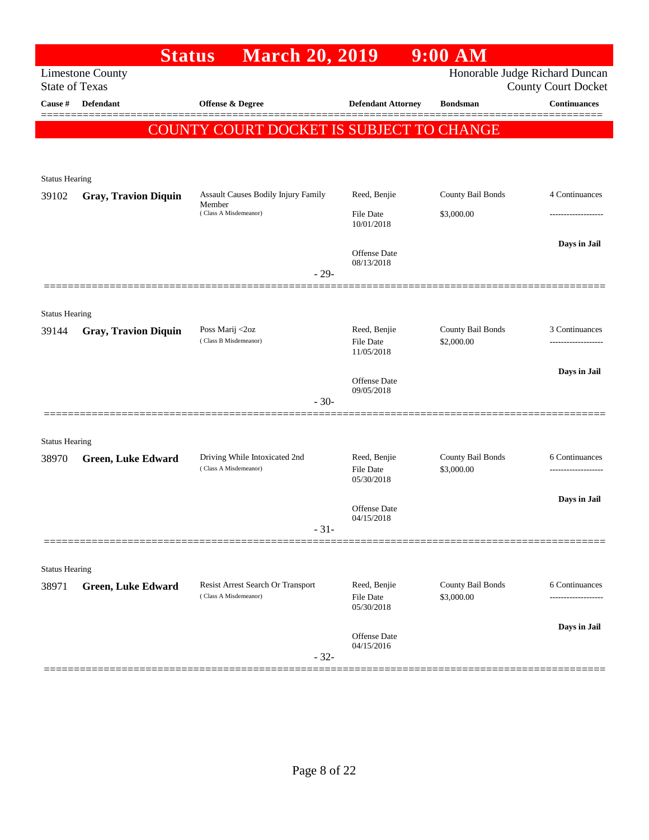|                                | <b>Status</b>               | <b>March 20, 2019</b>                                      |                                | $9:00$ AM                       |                                                   |
|--------------------------------|-----------------------------|------------------------------------------------------------|--------------------------------|---------------------------------|---------------------------------------------------|
| <b>State of Texas</b>          | <b>Limestone County</b>     |                                                            |                                |                                 | Honorable Judge Richard Duncan                    |
| Cause #                        | <b>Defendant</b>            | Offense & Degree                                           | <b>Defendant Attorney</b>      | <b>Bondsman</b>                 | <b>County Court Docket</b><br><b>Continuances</b> |
|                                |                             |                                                            |                                |                                 |                                                   |
|                                |                             | COUNTY COURT DOCKET IS SUBJECT TO CHANGE                   |                                |                                 |                                                   |
|                                |                             |                                                            |                                |                                 |                                                   |
| <b>Status Hearing</b>          |                             |                                                            |                                |                                 |                                                   |
| 39102                          | <b>Gray, Travion Diquin</b> | <b>Assault Causes Bodily Injury Family</b>                 | Reed, Benjie                   | County Bail Bonds               | 4 Continuances                                    |
|                                |                             | Member<br>(Class A Misdemeanor)                            | <b>File Date</b>               | \$3,000.00                      |                                                   |
|                                |                             |                                                            | 10/01/2018                     |                                 |                                                   |
|                                |                             |                                                            | <b>Offense</b> Date            |                                 | Days in Jail                                      |
|                                |                             | $-29-$                                                     | 08/13/2018                     |                                 |                                                   |
|                                |                             |                                                            |                                |                                 |                                                   |
|                                |                             |                                                            |                                |                                 |                                                   |
| <b>Status Hearing</b><br>39144 | <b>Gray, Travion Diquin</b> | Poss Marij <2oz                                            | Reed, Benjie                   | County Bail Bonds               | 3 Continuances                                    |
|                                |                             | (Class B Misdemeanor)                                      | File Date                      | \$2,000.00                      |                                                   |
|                                |                             |                                                            | 11/05/2018                     |                                 |                                                   |
|                                |                             |                                                            | <b>Offense</b> Date            |                                 | Days in Jail                                      |
|                                |                             | $-30-$                                                     | 09/05/2018                     |                                 |                                                   |
|                                |                             |                                                            |                                |                                 |                                                   |
| <b>Status Hearing</b>          |                             |                                                            |                                |                                 |                                                   |
| 38970                          | <b>Green, Luke Edward</b>   | Driving While Intoxicated 2nd                              | Reed, Benjie                   | County Bail Bonds               | 6 Continuances                                    |
|                                |                             | (Class A Misdemeanor)                                      | <b>File Date</b><br>05/30/2018 | \$3,000.00                      |                                                   |
|                                |                             |                                                            |                                |                                 | Days in Jail                                      |
|                                |                             |                                                            | Offense Date<br>04/15/2018     |                                 |                                                   |
|                                |                             | $-31-$                                                     |                                |                                 |                                                   |
|                                |                             |                                                            |                                |                                 |                                                   |
| <b>Status Hearing</b>          |                             |                                                            |                                |                                 |                                                   |
| 38971                          | <b>Green, Luke Edward</b>   | Resist Arrest Search Or Transport<br>(Class A Misdemeanor) | Reed, Benjie<br>File Date      | County Bail Bonds<br>\$3,000.00 | 6 Continuances                                    |
|                                |                             |                                                            | 05/30/2018                     |                                 |                                                   |
|                                |                             |                                                            |                                |                                 | Days in Jail                                      |
|                                |                             |                                                            | Offense Date<br>04/15/2016     |                                 |                                                   |
|                                |                             | $-32-$                                                     |                                |                                 |                                                   |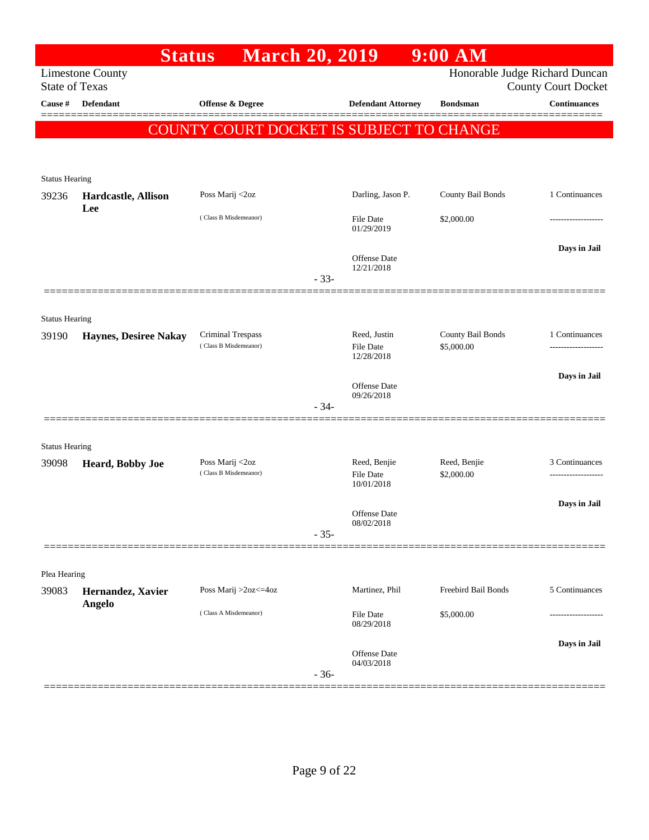|                                  | <b>Status</b>                | <b>March 20, 2019</b>                      |        |                            | $9:00$ AM                       |                                                   |
|----------------------------------|------------------------------|--------------------------------------------|--------|----------------------------|---------------------------------|---------------------------------------------------|
|                                  | <b>Limestone County</b>      |                                            |        |                            |                                 | Honorable Judge Richard Duncan                    |
| <b>State of Texas</b><br>Cause # | <b>Defendant</b>             | Offense & Degree                           |        | <b>Defendant Attorney</b>  | <b>Bondsman</b>                 | <b>County Court Docket</b><br><b>Continuances</b> |
|                                  |                              |                                            |        |                            |                                 |                                                   |
|                                  |                              | COUNTY COURT DOCKET IS SUBJECT TO CHANGE   |        |                            |                                 |                                                   |
|                                  |                              |                                            |        |                            |                                 |                                                   |
| <b>Status Hearing</b>            |                              |                                            |        |                            |                                 |                                                   |
| 39236                            | Hardcastle, Allison          | Poss Marij <2oz                            |        | Darling, Jason P.          | County Bail Bonds               | 1 Continuances                                    |
|                                  | Lee                          | (Class B Misdemeanor)                      |        | File Date                  | \$2,000.00                      |                                                   |
|                                  |                              |                                            |        | 01/29/2019                 |                                 |                                                   |
|                                  |                              |                                            |        |                            |                                 | Days in Jail                                      |
|                                  |                              |                                            |        | Offense Date<br>12/21/2018 |                                 |                                                   |
|                                  |                              |                                            | $-33-$ |                            |                                 |                                                   |
|                                  |                              |                                            |        |                            |                                 |                                                   |
| <b>Status Hearing</b>            |                              |                                            |        |                            |                                 |                                                   |
| 39190                            | <b>Haynes, Desiree Nakay</b> | Criminal Trespass<br>(Class B Misdemeanor) |        | Reed, Justin<br>File Date  | County Bail Bonds<br>\$5,000.00 | 1 Continuances                                    |
|                                  |                              |                                            |        | 12/28/2018                 |                                 |                                                   |
|                                  |                              |                                            |        | Offense Date               |                                 | Days in Jail                                      |
|                                  |                              |                                            |        | 09/26/2018                 |                                 |                                                   |
|                                  |                              |                                            | $-34-$ |                            |                                 |                                                   |
|                                  |                              |                                            |        |                            |                                 |                                                   |
| <b>Status Hearing</b>            |                              |                                            |        |                            | Reed, Benjie                    | 3 Continuances                                    |
| 39098                            | Heard, Bobby Joe             | Poss Marij <2oz<br>(Class B Misdemeanor)   |        | Reed, Benjie<br>File Date  | \$2,000.00                      |                                                   |
|                                  |                              |                                            |        | 10/01/2018                 |                                 |                                                   |
|                                  |                              |                                            |        | Offense Date               |                                 | Days in Jail                                      |
|                                  |                              |                                            | $-35-$ | 08/02/2018                 |                                 |                                                   |
|                                  |                              |                                            |        |                            |                                 |                                                   |
| Plea Hearing                     |                              |                                            |        |                            |                                 |                                                   |
| 39083                            | Hernandez, Xavier            | Poss Marij >2oz<=4oz                       |        | Martinez, Phil             | Freebird Bail Bonds             | 5 Continuances                                    |
|                                  | <b>Angelo</b>                |                                            |        |                            |                                 |                                                   |
|                                  |                              | (Class A Misdemeanor)                      |        | File Date<br>08/29/2018    | \$5,000.00                      |                                                   |
|                                  |                              |                                            |        |                            |                                 | Days in Jail                                      |
|                                  |                              |                                            |        | Offense Date<br>04/03/2018 |                                 |                                                   |
|                                  |                              |                                            | $-36-$ |                            |                                 |                                                   |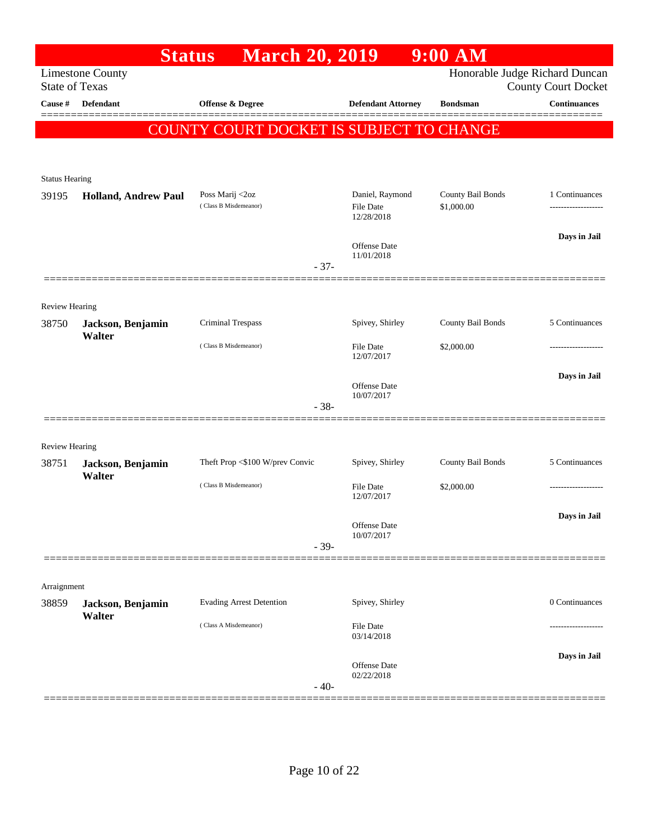|                       | <b>Status</b>               | <b>March 20, 2019</b>                    |                                | $9:00$ AM         |                                                   |
|-----------------------|-----------------------------|------------------------------------------|--------------------------------|-------------------|---------------------------------------------------|
| <b>State of Texas</b> | <b>Limestone County</b>     |                                          |                                |                   | Honorable Judge Richard Duncan                    |
| Cause #               | <b>Defendant</b>            | <b>Offense &amp; Degree</b>              | <b>Defendant Attorney</b>      | <b>Bondsman</b>   | <b>County Court Docket</b><br><b>Continuances</b> |
|                       |                             |                                          |                                |                   |                                                   |
|                       |                             | COUNTY COURT DOCKET IS SUBJECT TO CHANGE |                                |                   |                                                   |
|                       |                             |                                          |                                |                   |                                                   |
| <b>Status Hearing</b> |                             |                                          |                                |                   |                                                   |
| 39195                 | <b>Holland, Andrew Paul</b> | Poss Marij <2oz                          | Daniel, Raymond                | County Bail Bonds | 1 Continuances                                    |
|                       |                             | (Class B Misdemeanor)                    | <b>File Date</b><br>12/28/2018 | \$1,000.00        |                                                   |
|                       |                             |                                          |                                |                   | Days in Jail                                      |
|                       |                             |                                          | Offense Date<br>11/01/2018     |                   |                                                   |
|                       |                             | $-37-$                                   |                                |                   |                                                   |
|                       |                             |                                          |                                |                   |                                                   |
| <b>Review Hearing</b> |                             |                                          |                                |                   |                                                   |
| 38750                 | Jackson, Benjamin<br>Walter | Criminal Trespass                        | Spivey, Shirley                | County Bail Bonds | 5 Continuances                                    |
|                       |                             | (Class B Misdemeanor)                    | <b>File Date</b>               | \$2,000.00        |                                                   |
|                       |                             |                                          | 12/07/2017                     |                   |                                                   |
|                       |                             |                                          | Offense Date                   |                   | Days in Jail                                      |
|                       |                             | $-38-$                                   | 10/07/2017                     |                   |                                                   |
|                       |                             |                                          |                                |                   |                                                   |
| <b>Review Hearing</b> |                             |                                          |                                |                   |                                                   |
| 38751                 | Jackson, Benjamin           | Theft Prop <\$100 W/prev Convic          | Spivey, Shirley                | County Bail Bonds | 5 Continuances                                    |
|                       | Walter                      | (Class B Misdemeanor)                    | <b>File Date</b>               | \$2,000.00        |                                                   |
|                       |                             |                                          | 12/07/2017                     |                   |                                                   |
|                       |                             |                                          | Offense Date                   |                   | Days in Jail                                      |
|                       |                             | $-39-$                                   | 10/07/2017                     |                   |                                                   |
|                       |                             |                                          |                                |                   |                                                   |
| Arraignment           |                             |                                          |                                |                   |                                                   |
| 38859                 | Jackson, Benjamin           | <b>Evading Arrest Detention</b>          | Spivey, Shirley                |                   | 0 Continuances                                    |
|                       | Walter                      | (Class A Misdemeanor)                    | <b>File Date</b>               |                   |                                                   |
|                       |                             |                                          | 03/14/2018                     |                   |                                                   |
|                       |                             |                                          | Offense Date                   |                   | Days in Jail                                      |
|                       |                             | $-40-$                                   | 02/22/2018                     |                   |                                                   |
|                       |                             |                                          |                                |                   |                                                   |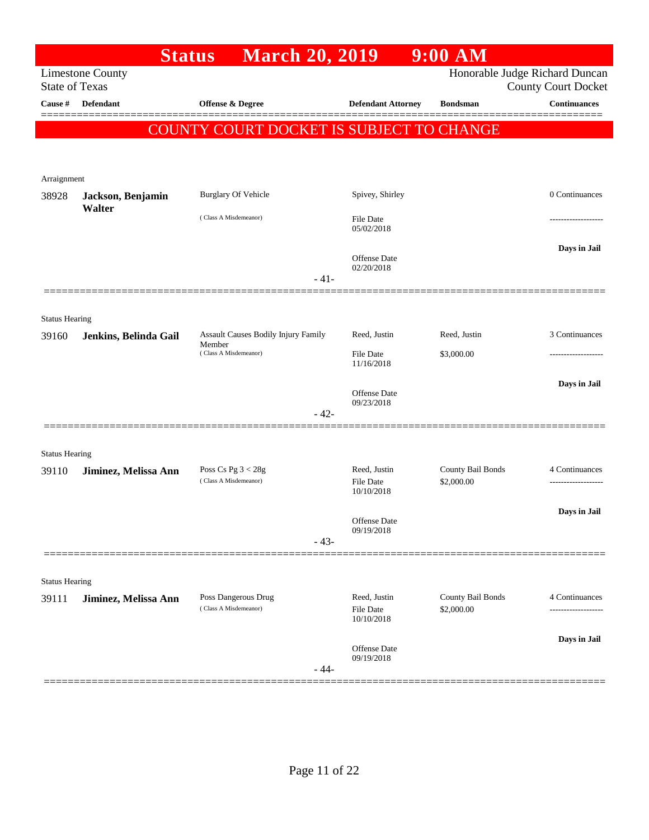|                       |                         | <b>March 20, 2019</b><br><b>Status</b>        |                            | $9:00$ AM         |                                |
|-----------------------|-------------------------|-----------------------------------------------|----------------------------|-------------------|--------------------------------|
|                       | <b>Limestone County</b> |                                               |                            |                   | Honorable Judge Richard Duncan |
| <b>State of Texas</b> |                         |                                               |                            |                   | <b>County Court Docket</b>     |
| Cause #               | <b>Defendant</b>        | Offense & Degree                              | <b>Defendant Attorney</b>  | <b>Bondsman</b>   | <b>Continuances</b>            |
|                       |                         | COUNTY COURT DOCKET IS SUBJECT TO CHANGE      |                            |                   |                                |
|                       |                         |                                               |                            |                   |                                |
| Arraignment           |                         |                                               |                            |                   |                                |
| 38928                 | Jackson, Benjamin       | <b>Burglary Of Vehicle</b>                    | Spivey, Shirley            |                   | 0 Continuances                 |
|                       | Walter                  |                                               |                            |                   |                                |
|                       |                         | (Class A Misdemeanor)                         | File Date<br>05/02/2018    |                   |                                |
|                       |                         |                                               |                            |                   | Days in Jail                   |
|                       |                         |                                               | Offense Date<br>02/20/2018 |                   |                                |
|                       |                         | $-41-$                                        |                            |                   |                                |
|                       |                         |                                               |                            |                   |                                |
| <b>Status Hearing</b> |                         |                                               |                            |                   |                                |
| 39160                 | Jenkins, Belinda Gail   | Assault Causes Bodily Injury Family<br>Member | Reed, Justin               | Reed, Justin      | 3 Continuances                 |
|                       |                         | (Class A Misdemeanor)                         | File Date<br>11/16/2018    | \$3,000.00        |                                |
|                       |                         |                                               |                            |                   | Days in Jail                   |
|                       |                         |                                               | Offense Date<br>09/23/2018 |                   |                                |
|                       |                         | $-42-$                                        |                            |                   |                                |
|                       |                         |                                               |                            |                   |                                |
| <b>Status Hearing</b> |                         |                                               |                            |                   |                                |
| 39110                 | Jiminez, Melissa Ann    | Poss Cs Pg $3 < 28g$                          | Reed, Justin               | County Bail Bonds | 4 Continuances                 |
|                       |                         | (Class A Misdemeanor)                         | File Date<br>10/10/2018    | \$2,000.00        |                                |
|                       |                         |                                               |                            |                   | Days in Jail                   |
|                       |                         |                                               | Offense Date<br>09/19/2018 |                   |                                |
|                       |                         | $-43-$                                        |                            |                   |                                |
|                       |                         |                                               |                            |                   |                                |
| <b>Status Hearing</b> |                         |                                               |                            |                   |                                |
| 39111                 | Jiminez, Melissa Ann    | Poss Dangerous Drug<br>(Class A Misdemeanor)  | Reed, Justin               | County Bail Bonds | 4 Continuances                 |
|                       |                         |                                               | File Date<br>10/10/2018    | \$2,000.00        |                                |
|                       |                         |                                               |                            |                   | Days in Jail                   |
|                       |                         |                                               | Offense Date<br>09/19/2018 |                   |                                |
|                       |                         | $-44-$                                        |                            |                   |                                |
|                       |                         |                                               |                            |                   |                                |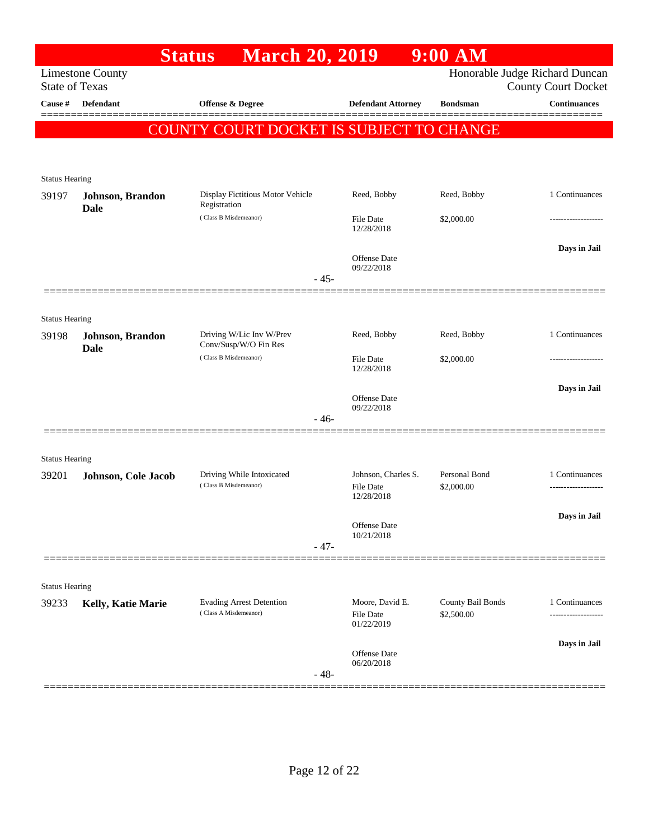| Honorable Judge Richard Duncan<br><b>Limestone County</b><br><b>State of Texas</b><br><b>County Court Docket</b><br><b>Continuances</b><br><b>Defendant</b><br>Offense & Degree<br><b>Defendant Attorney</b><br><b>Cause</b> #<br><b>Bondsman</b><br>COUNTY COURT DOCKET IS SUBJECT TO CHANGE<br><b>Status Hearing</b><br>1 Continuances<br>Display Fictitious Motor Vehicle<br>Reed, Bobby<br>Reed, Bobby<br>Johnson, Brandon<br>Registration<br><b>Dale</b><br>(Class B Misdemeanor)<br>\$2,000.00<br><b>File Date</b><br>12/28/2018<br>Days in Jail<br>Offense Date<br>09/22/2018<br>$-45-$<br><b>Status Hearing</b><br>1 Continuances<br>Driving W/Lic Inv W/Prev<br>Reed, Bobby<br>Reed, Bobby<br>39198<br>Johnson, Brandon<br>Conv/Susp/W/O Fin Res<br><b>Dale</b><br>(Class B Misdemeanor)<br><b>File Date</b><br>\$2,000.00<br>12/28/2018<br>Days in Jail<br>Offense Date<br>09/22/2018<br>$-46-$<br><b>Status Hearing</b><br>Driving While Intoxicated<br>Johnson, Charles S.<br>Personal Bond<br>1 Continuances<br>Johnson, Cole Jacob<br>(Class B Misdemeanor)<br><b>File Date</b><br>\$2,000.00<br>12/28/2018<br>Days in Jail<br>Offense Date<br>10/21/2018<br>$-47-$<br><b>Status Hearing</b><br><b>Evading Arrest Detention</b><br>Moore, David E.<br>County Bail Bonds<br>1 Continuances<br>Kelly, Katie Marie<br>(Class A Misdemeanor)<br><b>File Date</b><br>\$2,500.00<br><br>01/22/2019<br>Days in Jail<br><b>Offense Date</b><br>06/20/2018<br>$-48-$ |       | <b>March 20, 2019</b><br><b>Status</b> | $9:00$ AM |  |
|---------------------------------------------------------------------------------------------------------------------------------------------------------------------------------------------------------------------------------------------------------------------------------------------------------------------------------------------------------------------------------------------------------------------------------------------------------------------------------------------------------------------------------------------------------------------------------------------------------------------------------------------------------------------------------------------------------------------------------------------------------------------------------------------------------------------------------------------------------------------------------------------------------------------------------------------------------------------------------------------------------------------------------------------------------------------------------------------------------------------------------------------------------------------------------------------------------------------------------------------------------------------------------------------------------------------------------------------------------------------------------------------------------------------------------------------------------------------------|-------|----------------------------------------|-----------|--|
|                                                                                                                                                                                                                                                                                                                                                                                                                                                                                                                                                                                                                                                                                                                                                                                                                                                                                                                                                                                                                                                                                                                                                                                                                                                                                                                                                                                                                                                                           |       |                                        |           |  |
|                                                                                                                                                                                                                                                                                                                                                                                                                                                                                                                                                                                                                                                                                                                                                                                                                                                                                                                                                                                                                                                                                                                                                                                                                                                                                                                                                                                                                                                                           |       |                                        |           |  |
|                                                                                                                                                                                                                                                                                                                                                                                                                                                                                                                                                                                                                                                                                                                                                                                                                                                                                                                                                                                                                                                                                                                                                                                                                                                                                                                                                                                                                                                                           |       |                                        |           |  |
|                                                                                                                                                                                                                                                                                                                                                                                                                                                                                                                                                                                                                                                                                                                                                                                                                                                                                                                                                                                                                                                                                                                                                                                                                                                                                                                                                                                                                                                                           |       |                                        |           |  |
|                                                                                                                                                                                                                                                                                                                                                                                                                                                                                                                                                                                                                                                                                                                                                                                                                                                                                                                                                                                                                                                                                                                                                                                                                                                                                                                                                                                                                                                                           |       |                                        |           |  |
|                                                                                                                                                                                                                                                                                                                                                                                                                                                                                                                                                                                                                                                                                                                                                                                                                                                                                                                                                                                                                                                                                                                                                                                                                                                                                                                                                                                                                                                                           |       |                                        |           |  |
|                                                                                                                                                                                                                                                                                                                                                                                                                                                                                                                                                                                                                                                                                                                                                                                                                                                                                                                                                                                                                                                                                                                                                                                                                                                                                                                                                                                                                                                                           | 39197 |                                        |           |  |
|                                                                                                                                                                                                                                                                                                                                                                                                                                                                                                                                                                                                                                                                                                                                                                                                                                                                                                                                                                                                                                                                                                                                                                                                                                                                                                                                                                                                                                                                           |       |                                        |           |  |
|                                                                                                                                                                                                                                                                                                                                                                                                                                                                                                                                                                                                                                                                                                                                                                                                                                                                                                                                                                                                                                                                                                                                                                                                                                                                                                                                                                                                                                                                           |       |                                        |           |  |
|                                                                                                                                                                                                                                                                                                                                                                                                                                                                                                                                                                                                                                                                                                                                                                                                                                                                                                                                                                                                                                                                                                                                                                                                                                                                                                                                                                                                                                                                           |       |                                        |           |  |
|                                                                                                                                                                                                                                                                                                                                                                                                                                                                                                                                                                                                                                                                                                                                                                                                                                                                                                                                                                                                                                                                                                                                                                                                                                                                                                                                                                                                                                                                           |       |                                        |           |  |
|                                                                                                                                                                                                                                                                                                                                                                                                                                                                                                                                                                                                                                                                                                                                                                                                                                                                                                                                                                                                                                                                                                                                                                                                                                                                                                                                                                                                                                                                           |       |                                        |           |  |
|                                                                                                                                                                                                                                                                                                                                                                                                                                                                                                                                                                                                                                                                                                                                                                                                                                                                                                                                                                                                                                                                                                                                                                                                                                                                                                                                                                                                                                                                           |       |                                        |           |  |
|                                                                                                                                                                                                                                                                                                                                                                                                                                                                                                                                                                                                                                                                                                                                                                                                                                                                                                                                                                                                                                                                                                                                                                                                                                                                                                                                                                                                                                                                           |       |                                        |           |  |
|                                                                                                                                                                                                                                                                                                                                                                                                                                                                                                                                                                                                                                                                                                                                                                                                                                                                                                                                                                                                                                                                                                                                                                                                                                                                                                                                                                                                                                                                           |       |                                        |           |  |
|                                                                                                                                                                                                                                                                                                                                                                                                                                                                                                                                                                                                                                                                                                                                                                                                                                                                                                                                                                                                                                                                                                                                                                                                                                                                                                                                                                                                                                                                           |       |                                        |           |  |
|                                                                                                                                                                                                                                                                                                                                                                                                                                                                                                                                                                                                                                                                                                                                                                                                                                                                                                                                                                                                                                                                                                                                                                                                                                                                                                                                                                                                                                                                           |       |                                        |           |  |
|                                                                                                                                                                                                                                                                                                                                                                                                                                                                                                                                                                                                                                                                                                                                                                                                                                                                                                                                                                                                                                                                                                                                                                                                                                                                                                                                                                                                                                                                           |       |                                        |           |  |
|                                                                                                                                                                                                                                                                                                                                                                                                                                                                                                                                                                                                                                                                                                                                                                                                                                                                                                                                                                                                                                                                                                                                                                                                                                                                                                                                                                                                                                                                           |       |                                        |           |  |
|                                                                                                                                                                                                                                                                                                                                                                                                                                                                                                                                                                                                                                                                                                                                                                                                                                                                                                                                                                                                                                                                                                                                                                                                                                                                                                                                                                                                                                                                           |       |                                        |           |  |
|                                                                                                                                                                                                                                                                                                                                                                                                                                                                                                                                                                                                                                                                                                                                                                                                                                                                                                                                                                                                                                                                                                                                                                                                                                                                                                                                                                                                                                                                           |       |                                        |           |  |
|                                                                                                                                                                                                                                                                                                                                                                                                                                                                                                                                                                                                                                                                                                                                                                                                                                                                                                                                                                                                                                                                                                                                                                                                                                                                                                                                                                                                                                                                           | 39201 |                                        |           |  |
|                                                                                                                                                                                                                                                                                                                                                                                                                                                                                                                                                                                                                                                                                                                                                                                                                                                                                                                                                                                                                                                                                                                                                                                                                                                                                                                                                                                                                                                                           |       |                                        |           |  |
|                                                                                                                                                                                                                                                                                                                                                                                                                                                                                                                                                                                                                                                                                                                                                                                                                                                                                                                                                                                                                                                                                                                                                                                                                                                                                                                                                                                                                                                                           |       |                                        |           |  |
|                                                                                                                                                                                                                                                                                                                                                                                                                                                                                                                                                                                                                                                                                                                                                                                                                                                                                                                                                                                                                                                                                                                                                                                                                                                                                                                                                                                                                                                                           |       |                                        |           |  |
|                                                                                                                                                                                                                                                                                                                                                                                                                                                                                                                                                                                                                                                                                                                                                                                                                                                                                                                                                                                                                                                                                                                                                                                                                                                                                                                                                                                                                                                                           |       |                                        |           |  |
|                                                                                                                                                                                                                                                                                                                                                                                                                                                                                                                                                                                                                                                                                                                                                                                                                                                                                                                                                                                                                                                                                                                                                                                                                                                                                                                                                                                                                                                                           |       |                                        |           |  |
|                                                                                                                                                                                                                                                                                                                                                                                                                                                                                                                                                                                                                                                                                                                                                                                                                                                                                                                                                                                                                                                                                                                                                                                                                                                                                                                                                                                                                                                                           |       |                                        |           |  |
|                                                                                                                                                                                                                                                                                                                                                                                                                                                                                                                                                                                                                                                                                                                                                                                                                                                                                                                                                                                                                                                                                                                                                                                                                                                                                                                                                                                                                                                                           | 39233 |                                        |           |  |
|                                                                                                                                                                                                                                                                                                                                                                                                                                                                                                                                                                                                                                                                                                                                                                                                                                                                                                                                                                                                                                                                                                                                                                                                                                                                                                                                                                                                                                                                           |       |                                        |           |  |
|                                                                                                                                                                                                                                                                                                                                                                                                                                                                                                                                                                                                                                                                                                                                                                                                                                                                                                                                                                                                                                                                                                                                                                                                                                                                                                                                                                                                                                                                           |       |                                        |           |  |
|                                                                                                                                                                                                                                                                                                                                                                                                                                                                                                                                                                                                                                                                                                                                                                                                                                                                                                                                                                                                                                                                                                                                                                                                                                                                                                                                                                                                                                                                           |       |                                        |           |  |
|                                                                                                                                                                                                                                                                                                                                                                                                                                                                                                                                                                                                                                                                                                                                                                                                                                                                                                                                                                                                                                                                                                                                                                                                                                                                                                                                                                                                                                                                           |       |                                        |           |  |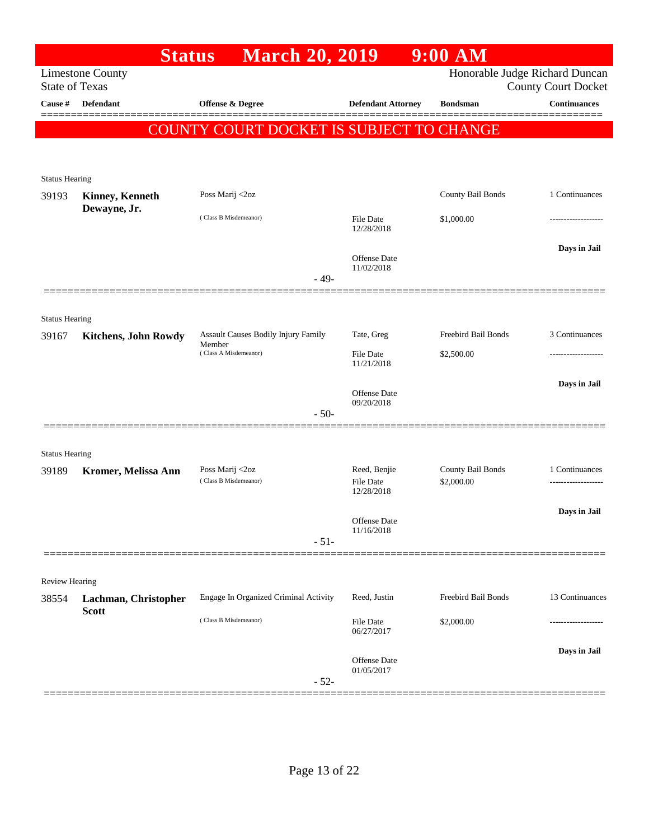|                                | <b>Status</b>               | <b>March 20, 2019</b>                           |                            | $9:00$ AM           |                                                              |
|--------------------------------|-----------------------------|-------------------------------------------------|----------------------------|---------------------|--------------------------------------------------------------|
| <b>State of Texas</b>          | <b>Limestone County</b>     |                                                 |                            |                     | Honorable Judge Richard Duncan<br><b>County Court Docket</b> |
| Cause #                        | <b>Defendant</b>            | Offense & Degree                                | <b>Defendant Attorney</b>  | <b>Bondsman</b>     | <b>Continuances</b>                                          |
|                                |                             |                                                 |                            |                     |                                                              |
|                                |                             | <b>COUNTY COURT DOCKET IS SUBJECT TO CHANGE</b> |                            |                     |                                                              |
|                                |                             |                                                 |                            |                     |                                                              |
| <b>Status Hearing</b>          |                             |                                                 |                            |                     |                                                              |
| 39193                          | <b>Kinney, Kenneth</b>      | Poss Marij <2oz                                 |                            | County Bail Bonds   | 1 Continuances                                               |
|                                | Dewayne, Jr.                | (Class B Misdemeanor)                           | <b>File Date</b>           | \$1,000.00          |                                                              |
|                                |                             |                                                 | 12/28/2018                 |                     |                                                              |
|                                |                             |                                                 | Offense Date               |                     | Days in Jail                                                 |
|                                |                             | $-49-$                                          | 11/02/2018                 |                     |                                                              |
|                                |                             |                                                 |                            |                     |                                                              |
|                                |                             |                                                 |                            |                     |                                                              |
| <b>Status Hearing</b><br>39167 | <b>Kitchens, John Rowdy</b> | Assault Causes Bodily Injury Family             | Tate, Greg                 | Freebird Bail Bonds | 3 Continuances                                               |
|                                |                             | Member<br>(Class A Misdemeanor)                 | <b>File Date</b>           | \$2,500.00          |                                                              |
|                                |                             |                                                 | 11/21/2018                 |                     |                                                              |
|                                |                             |                                                 | <b>Offense</b> Date        |                     | Days in Jail                                                 |
|                                |                             |                                                 | 09/20/2018                 |                     |                                                              |
|                                |                             | $-50-$                                          |                            |                     |                                                              |
|                                |                             |                                                 |                            |                     |                                                              |
| <b>Status Hearing</b><br>39189 |                             | Poss Marij <2oz                                 | Reed, Benjie               | County Bail Bonds   | 1 Continuances                                               |
|                                | Kromer, Melissa Ann         | (Class B Misdemeanor)                           | <b>File Date</b>           | \$2,000.00          | -------------------                                          |
|                                |                             |                                                 | 12/28/2018                 |                     |                                                              |
|                                |                             |                                                 | Offense Date               |                     | Days in Jail                                                 |
|                                |                             | $-51-$                                          | 11/16/2018                 |                     |                                                              |
|                                |                             |                                                 |                            |                     |                                                              |
| Review Hearing                 |                             |                                                 |                            |                     |                                                              |
| 38554                          | Lachman, Christopher        | Engage In Organized Criminal Activity           | Reed, Justin               | Freebird Bail Bonds | 13 Continuances                                              |
|                                | <b>Scott</b>                | (Class B Misdemeanor)                           | File Date                  | \$2,000.00          |                                                              |
|                                |                             |                                                 | 06/27/2017                 |                     |                                                              |
|                                |                             |                                                 |                            |                     | Days in Jail                                                 |
|                                |                             |                                                 | Offense Date<br>01/05/2017 |                     |                                                              |
|                                |                             | $-52-$                                          |                            |                     |                                                              |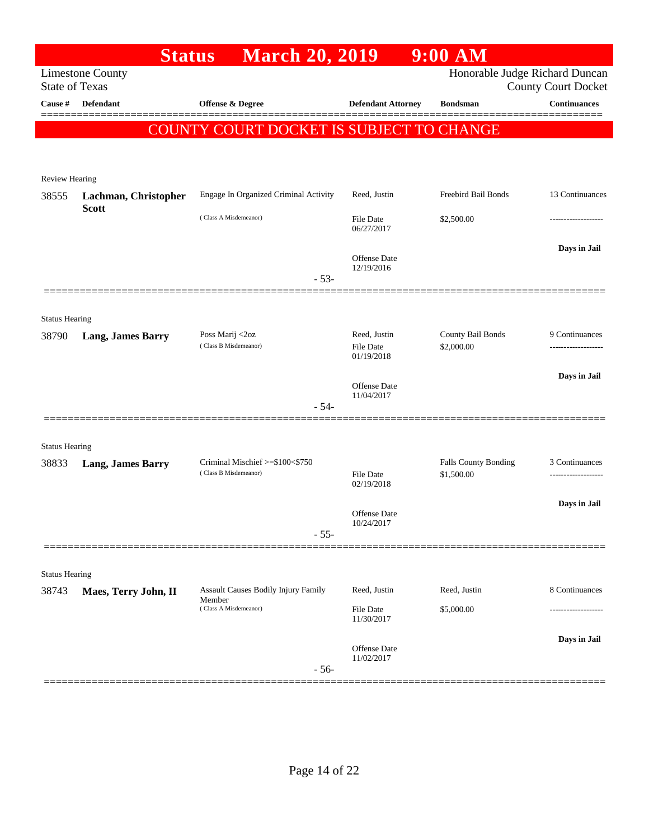|                                | <b>Status</b>                                    | <b>March 20, 2019</b>                                                         |                                                | $9:00$ AM                       |                            |
|--------------------------------|--------------------------------------------------|-------------------------------------------------------------------------------|------------------------------------------------|---------------------------------|----------------------------|
|                                | <b>Limestone County</b><br><b>State of Texas</b> |                                                                               |                                                | Honorable Judge Richard Duncan  | <b>County Court Docket</b> |
| Cause #                        | Defendant                                        | Offense & Degree                                                              | <b>Defendant Attorney</b>                      | <b>Bondsman</b>                 | <b>Continuances</b>        |
|                                |                                                  | COUNTY COURT DOCKET IS SUBJECT TO CHANGE                                      |                                                |                                 |                            |
| Review Hearing                 |                                                  |                                                                               |                                                |                                 |                            |
| 38555                          | Lachman, Christopher<br><b>Scott</b>             | Engage In Organized Criminal Activity                                         | Reed, Justin                                   | Freebird Bail Bonds             | 13 Continuances            |
|                                |                                                  | (Class A Misdemeanor)                                                         | <b>File Date</b><br>06/27/2017                 | \$2,500.00                      | ---------------            |
|                                |                                                  | $-53-$                                                                        | Offense Date<br>12/19/2016                     |                                 | Days in Jail               |
|                                |                                                  |                                                                               |                                                |                                 |                            |
| <b>Status Hearing</b><br>38790 | <b>Lang, James Barry</b>                         | Poss Marij <2oz<br>(Class B Misdemeanor)                                      | Reed, Justin<br><b>File Date</b><br>01/19/2018 | County Bail Bonds<br>\$2,000.00 | 9 Continuances             |
|                                |                                                  | $-54-$                                                                        | Offense Date<br>11/04/2017                     |                                 | Days in Jail               |
|                                | ================                                 |                                                                               |                                                |                                 |                            |
| <b>Status Hearing</b>          |                                                  | Criminal Mischief >=\$100<\$750                                               |                                                | <b>Falls County Bonding</b>     | 3 Continuances             |
| 38833                          | <b>Lang, James Barry</b>                         | (Class B Misdemeanor)                                                         | File Date<br>02/19/2018                        | \$1,500.00                      |                            |
|                                |                                                  | $-55-$                                                                        | Offense Date<br>10/24/2017                     |                                 | Days in Jail               |
|                                |                                                  |                                                                               |                                                |                                 |                            |
| <b>Status Hearing</b>          |                                                  |                                                                               |                                                |                                 |                            |
| 38743                          | Maes, Terry John, II                             | <b>Assault Causes Bodily Injury Family</b><br>Member<br>(Class A Misdemeanor) | Reed, Justin<br>File Date                      | Reed, Justin<br>\$5,000.00      | 8 Continuances             |
|                                |                                                  |                                                                               | 11/30/2017                                     |                                 |                            |
|                                |                                                  | $-56-$                                                                        | Offense Date<br>11/02/2017                     |                                 | Days in Jail               |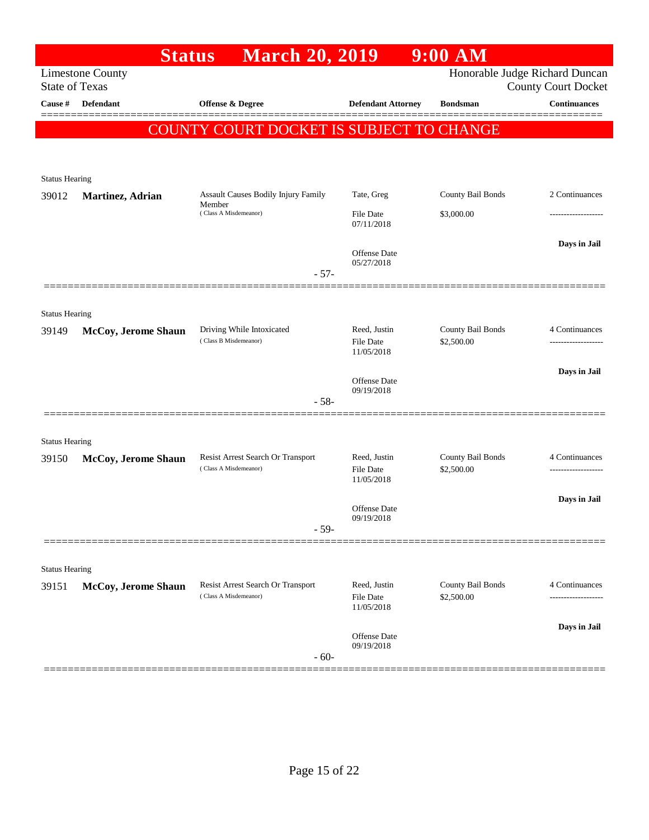| Honorable Judge Richard Duncan<br><b>County Court Docket</b><br><b>Continuances</b> |
|-------------------------------------------------------------------------------------|
|                                                                                     |
|                                                                                     |
|                                                                                     |
|                                                                                     |
|                                                                                     |
|                                                                                     |
| 2 Continuances<br>County Bail Bonds                                                 |
|                                                                                     |
| Days in Jail                                                                        |
|                                                                                     |
|                                                                                     |
|                                                                                     |
| County Bail Bonds<br>4 Continuances                                                 |
|                                                                                     |
|                                                                                     |
| Days in Jail                                                                        |
|                                                                                     |
|                                                                                     |
|                                                                                     |
| County Bail Bonds<br>4 Continuances                                                 |
| -------------------                                                                 |
| Days in Jail                                                                        |
|                                                                                     |
|                                                                                     |
|                                                                                     |
| County Bail Bonds<br>4 Continuances                                                 |
|                                                                                     |
| Days in Jail                                                                        |
|                                                                                     |
|                                                                                     |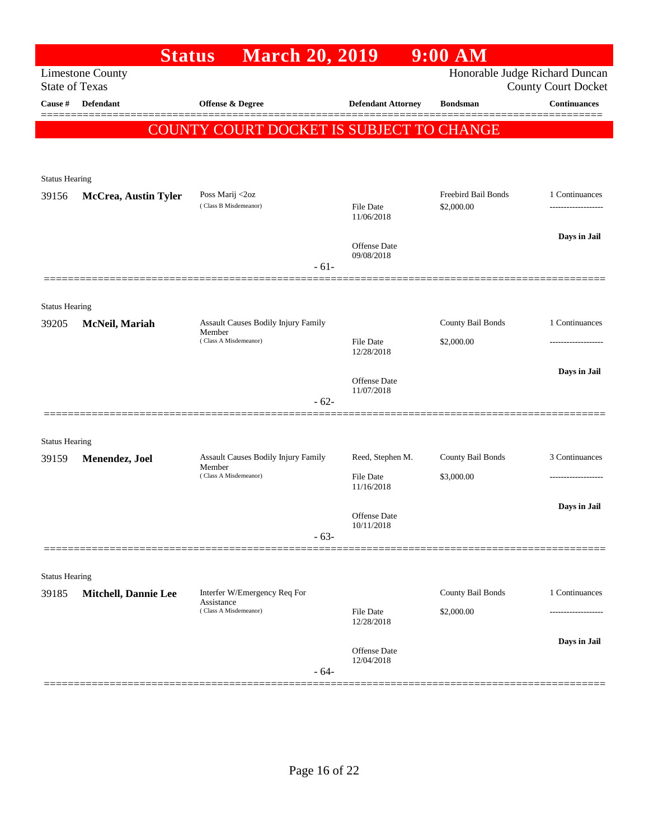|                       | <b>Status</b>               | <b>March 20, 2019</b>                                |                                | $9:00$ AM                      |                            |
|-----------------------|-----------------------------|------------------------------------------------------|--------------------------------|--------------------------------|----------------------------|
| <b>State of Texas</b> | <b>Limestone County</b>     |                                                      |                                | Honorable Judge Richard Duncan | <b>County Court Docket</b> |
| Cause #               | <b>Defendant</b>            | <b>Offense &amp; Degree</b>                          | <b>Defendant Attorney</b>      | <b>Bondsman</b>                | <b>Continuances</b>        |
|                       |                             | COUNTY COURT DOCKET IS SUBJECT TO CHANGE             |                                |                                |                            |
|                       |                             |                                                      |                                |                                |                            |
| <b>Status Hearing</b> |                             |                                                      |                                |                                |                            |
| 39156                 | <b>McCrea, Austin Tyler</b> | Poss Marij <2oz<br>(Class B Misdemeanor)             |                                | Freebird Bail Bonds            | 1 Continuances             |
|                       |                             |                                                      | <b>File Date</b><br>11/06/2018 | \$2,000.00                     |                            |
|                       |                             |                                                      | Offense Date                   |                                | Days in Jail               |
|                       |                             | $-61-$                                               | 09/08/2018                     |                                |                            |
|                       |                             |                                                      |                                |                                |                            |
| <b>Status Hearing</b> |                             |                                                      |                                |                                |                            |
| 39205                 | McNeil, Mariah              | Assault Causes Bodily Injury Family<br>Member        |                                | County Bail Bonds              | 1 Continuances             |
|                       |                             | (Class A Misdemeanor)                                | <b>File Date</b><br>12/28/2018 | \$2,000.00                     |                            |
|                       |                             |                                                      | Offense Date                   |                                | Days in Jail               |
|                       |                             | $-62-$                                               | 11/07/2018                     |                                |                            |
|                       |                             |                                                      |                                |                                |                            |
| <b>Status Hearing</b> |                             |                                                      |                                |                                |                            |
| 39159                 | Menendez, Joel              | <b>Assault Causes Bodily Injury Family</b><br>Member | Reed, Stephen M.               | County Bail Bonds              | 3 Continuances             |
|                       |                             | (Class A Misdemeanor)                                | File Date<br>11/16/2018        | \$3,000.00                     | -------------------        |
|                       |                             |                                                      |                                |                                | Days in Jail               |
|                       |                             |                                                      | Offense Date<br>10/11/2018     |                                |                            |
|                       |                             | $-63-$                                               |                                |                                |                            |
| <b>Status Hearing</b> |                             |                                                      |                                |                                |                            |
| 39185                 | <b>Mitchell, Dannie Lee</b> | Interfer W/Emergency Req For<br>Assistance           |                                | County Bail Bonds              | 1 Continuances             |
|                       |                             | (Class A Misdemeanor)                                | File Date<br>12/28/2018        | \$2,000.00                     | ---------------            |
|                       |                             |                                                      |                                |                                | Days in Jail               |
|                       |                             |                                                      | Offense Date<br>12/04/2018     |                                |                            |
|                       |                             | $-64-$                                               |                                |                                |                            |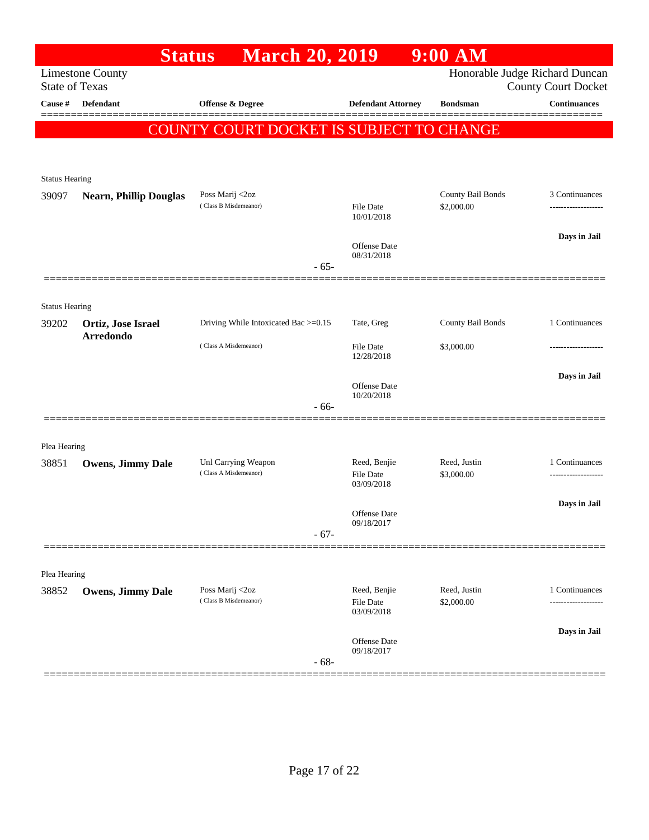|                       | <b>Status</b>                          | <b>March 20, 2019</b>                        |                                  | $9:00$ AM                  |                                                   |
|-----------------------|----------------------------------------|----------------------------------------------|----------------------------------|----------------------------|---------------------------------------------------|
| <b>State of Texas</b> | <b>Limestone County</b>                |                                              |                                  |                            | Honorable Judge Richard Duncan                    |
| Cause #               | <b>Defendant</b>                       | <b>Offense &amp; Degree</b>                  | <b>Defendant Attorney</b>        | <b>Bondsman</b>            | <b>County Court Docket</b><br><b>Continuances</b> |
|                       |                                        |                                              |                                  |                            |                                                   |
|                       |                                        | COUNTY COURT DOCKET IS SUBJECT TO CHANGE     |                                  |                            |                                                   |
|                       |                                        |                                              |                                  |                            |                                                   |
| <b>Status Hearing</b> |                                        |                                              |                                  |                            |                                                   |
| 39097                 | <b>Nearn, Phillip Douglas</b>          | Poss Marij <2oz                              |                                  | County Bail Bonds          | 3 Continuances                                    |
|                       |                                        | (Class B Misdemeanor)                        | File Date<br>10/01/2018          | \$2,000.00                 |                                                   |
|                       |                                        |                                              |                                  |                            | Days in Jail                                      |
|                       |                                        |                                              | Offense Date<br>08/31/2018       |                            |                                                   |
|                       |                                        | $-65-$                                       |                                  |                            |                                                   |
|                       |                                        |                                              |                                  |                            |                                                   |
| <b>Status Hearing</b> |                                        |                                              |                                  |                            |                                                   |
| 39202                 | Ortiz, Jose Israel<br><b>Arredondo</b> | Driving While Intoxicated Bac >=0.15         | Tate, Greg                       | County Bail Bonds          | 1 Continuances                                    |
|                       |                                        | (Class A Misdemeanor)                        | File Date<br>12/28/2018          | \$3,000.00                 |                                                   |
|                       |                                        |                                              |                                  |                            | Days in Jail                                      |
|                       |                                        |                                              | Offense Date<br>10/20/2018       |                            |                                                   |
|                       |                                        | $-66-$                                       |                                  |                            |                                                   |
|                       |                                        |                                              |                                  |                            |                                                   |
| Plea Hearing          |                                        |                                              |                                  |                            |                                                   |
| 38851                 | Owens, Jimmy Dale                      | Unl Carrying Weapon<br>(Class A Misdemeanor) | Reed, Benjie<br><b>File Date</b> | Reed, Justin<br>\$3,000.00 | 1 Continuances<br>----------------                |
|                       |                                        |                                              | 03/09/2018                       |                            |                                                   |
|                       |                                        |                                              | Offense Date                     |                            | Days in Jail                                      |
|                       |                                        | $-67-$                                       | 09/18/2017                       |                            |                                                   |
|                       |                                        |                                              |                                  |                            |                                                   |
|                       |                                        |                                              |                                  |                            |                                                   |
| Plea Hearing<br>38852 | <b>Owens, Jimmy Dale</b>               | Poss Marij <2oz                              | Reed, Benjie                     | Reed, Justin               | 1 Continuances                                    |
|                       |                                        | (Class B Misdemeanor)                        | <b>File Date</b><br>03/09/2018   | \$2,000.00                 |                                                   |
|                       |                                        |                                              |                                  |                            | Days in Jail                                      |
|                       |                                        |                                              | Offense Date<br>09/18/2017       |                            |                                                   |
|                       |                                        | $-68-$                                       |                                  |                            |                                                   |
|                       |                                        |                                              |                                  |                            |                                                   |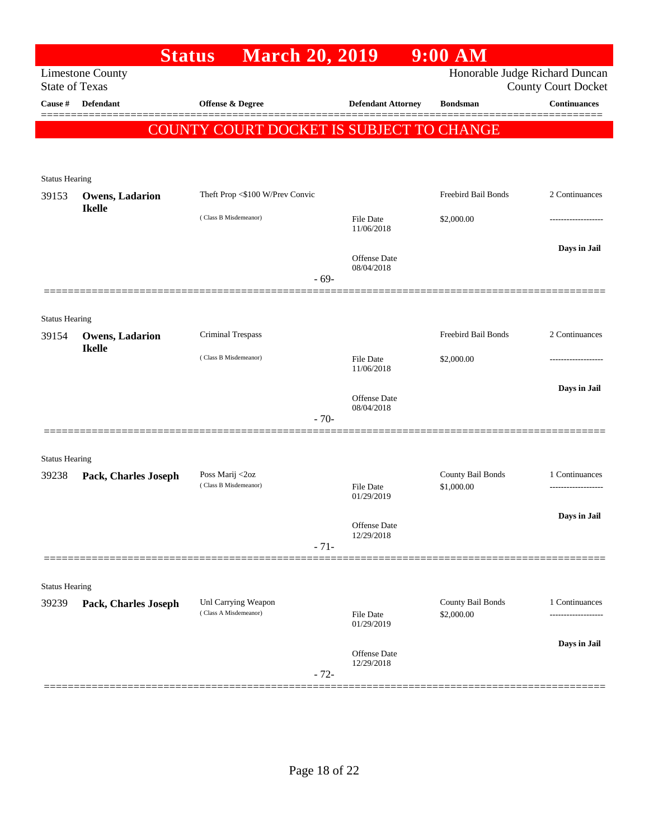|                                | <b>Status</b>           | <b>March 20, 2019</b>                        |                                | $9:00$ AM                       |                                            |
|--------------------------------|-------------------------|----------------------------------------------|--------------------------------|---------------------------------|--------------------------------------------|
| <b>State of Texas</b>          | <b>Limestone County</b> |                                              |                                | Honorable Judge Richard Duncan  |                                            |
| Cause #                        | <b>Defendant</b>        | <b>Offense &amp; Degree</b>                  | <b>Defendant Attorney</b>      | <b>Bondsman</b>                 | <b>County Court Docket</b><br>Continuances |
|                                |                         |                                              |                                |                                 |                                            |
|                                |                         | COUNTY COURT DOCKET IS SUBJECT TO CHANGE     |                                |                                 |                                            |
|                                |                         |                                              |                                |                                 |                                            |
| <b>Status Hearing</b>          |                         |                                              |                                |                                 |                                            |
| 39153                          | <b>Owens, Ladarion</b>  | Theft Prop <\$100 W/Prev Convic              |                                | Freebird Bail Bonds             | 2 Continuances                             |
|                                | <b>Ikelle</b>           | (Class B Misdemeanor)                        | <b>File Date</b>               | \$2,000.00                      |                                            |
|                                |                         |                                              | 11/06/2018                     |                                 |                                            |
|                                |                         |                                              | Offense Date                   |                                 | Days in Jail                               |
|                                |                         | $-69-$                                       | 08/04/2018                     |                                 |                                            |
|                                |                         |                                              |                                |                                 |                                            |
| <b>Status Hearing</b>          |                         |                                              |                                |                                 |                                            |
| 39154                          | Owens, Ladarion         | Criminal Trespass                            |                                | Freebird Bail Bonds             | 2 Continuances                             |
|                                | <b>Ikelle</b>           | (Class B Misdemeanor)                        | <b>File Date</b>               | \$2,000.00                      |                                            |
|                                |                         |                                              | 11/06/2018                     |                                 |                                            |
|                                |                         |                                              | Offense Date                   |                                 | Days in Jail                               |
|                                |                         |                                              | 08/04/2018                     |                                 |                                            |
|                                |                         | $-70-$                                       |                                |                                 |                                            |
|                                |                         |                                              |                                |                                 |                                            |
| <b>Status Hearing</b><br>39238 | Pack, Charles Joseph    | Poss Marij <2oz                              |                                | County Bail Bonds               | 1 Continuances                             |
|                                |                         | (Class B Misdemeanor)                        | <b>File Date</b><br>01/29/2019 | \$1,000.00                      |                                            |
|                                |                         |                                              |                                |                                 | Days in Jail                               |
|                                |                         |                                              | Offense Date<br>12/29/2018     |                                 |                                            |
|                                |                         | $-71-$                                       |                                |                                 |                                            |
|                                |                         |                                              |                                |                                 |                                            |
| <b>Status Hearing</b>          |                         |                                              |                                |                                 |                                            |
| 39239                          | Pack, Charles Joseph    | Unl Carrying Weapon<br>(Class A Misdemeanor) | <b>File Date</b>               | County Bail Bonds<br>\$2,000.00 | 1 Continuances<br>-----------------        |
|                                |                         |                                              | 01/29/2019                     |                                 |                                            |
|                                |                         |                                              | Offense Date                   |                                 | Days in Jail                               |
|                                |                         |                                              | 12/29/2018                     |                                 |                                            |
|                                |                         | $-72-$                                       |                                |                                 |                                            |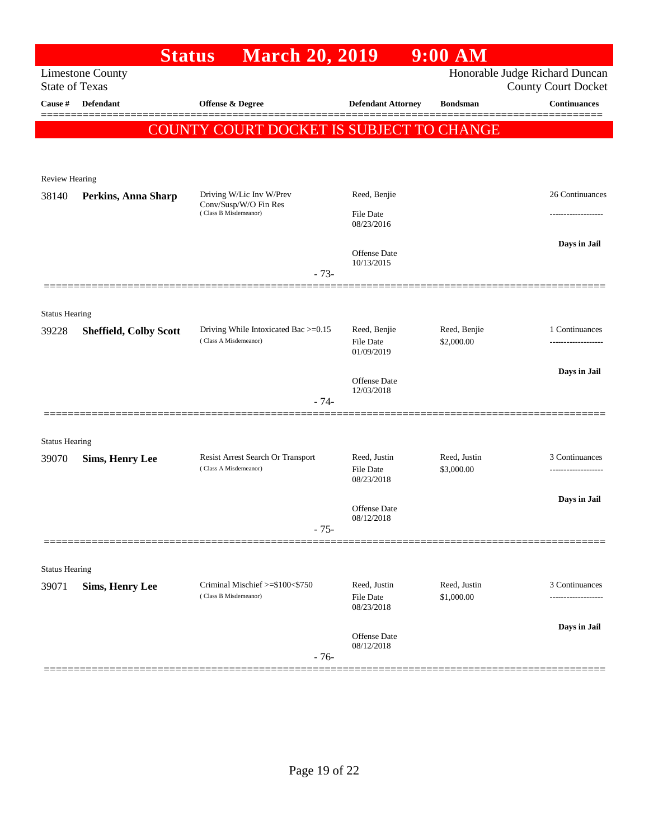|                                |                               | <b>March 20, 2019</b><br><b>Status</b>                     |                                  | $9:00$ AM                  |                                                              |
|--------------------------------|-------------------------------|------------------------------------------------------------|----------------------------------|----------------------------|--------------------------------------------------------------|
| <b>State of Texas</b>          | <b>Limestone County</b>       |                                                            |                                  |                            | Honorable Judge Richard Duncan<br><b>County Court Docket</b> |
| Cause #                        | <b>Defendant</b>              | Offense & Degree                                           | <b>Defendant Attorney</b>        | <b>Bondsman</b>            | <b>Continuances</b>                                          |
|                                |                               |                                                            |                                  |                            |                                                              |
|                                |                               | <b>COUNTY COURT DOCKET IS SUBJECT TO CHANGE</b>            |                                  |                            |                                                              |
|                                |                               |                                                            |                                  |                            |                                                              |
| <b>Review Hearing</b>          |                               |                                                            |                                  |                            |                                                              |
| 38140                          | Perkins, Anna Sharp           | Driving W/Lic Inv W/Prev<br>Conv/Susp/W/O Fin Res          | Reed, Benjie                     |                            | 26 Continuances                                              |
|                                |                               | (Class B Misdemeanor)                                      | <b>File Date</b><br>08/23/2016   |                            |                                                              |
|                                |                               |                                                            |                                  |                            | Days in Jail                                                 |
|                                |                               |                                                            | Offense Date<br>10/13/2015       |                            |                                                              |
|                                |                               | $-73-$                                                     |                                  |                            |                                                              |
|                                |                               |                                                            |                                  |                            |                                                              |
| <b>Status Hearing</b><br>39228 |                               | Driving While Intoxicated Bac >=0.15                       | Reed, Benjie                     | Reed, Benjie               | 1 Continuances                                               |
|                                | <b>Sheffield, Colby Scott</b> | (Class A Misdemeanor)                                      | File Date                        | \$2,000.00                 |                                                              |
|                                |                               |                                                            | 01/09/2019                       |                            |                                                              |
|                                |                               |                                                            | Offense Date<br>12/03/2018       |                            | Days in Jail                                                 |
|                                |                               | $-74-$                                                     |                                  |                            |                                                              |
|                                |                               |                                                            |                                  |                            |                                                              |
| <b>Status Hearing</b>          |                               |                                                            |                                  |                            |                                                              |
| 39070                          | <b>Sims, Henry Lee</b>        | Resist Arrest Search Or Transport<br>(Class A Misdemeanor) | Reed, Justin<br><b>File Date</b> | Reed, Justin<br>\$3,000.00 | 3 Continuances                                               |
|                                |                               |                                                            | 08/23/2018                       |                            |                                                              |
|                                |                               |                                                            | Offense Date                     |                            | Days in Jail                                                 |
|                                |                               | $-75-$                                                     | 08/12/2018                       |                            |                                                              |
|                                |                               |                                                            |                                  |                            |                                                              |
| <b>Status Hearing</b>          |                               |                                                            |                                  |                            |                                                              |
| 39071                          | <b>Sims, Henry Lee</b>        | Criminal Mischief >=\$100<\$750                            | Reed, Justin                     | Reed, Justin               | 3 Continuances                                               |
|                                |                               | (Class B Misdemeanor)                                      | <b>File Date</b><br>08/23/2018   | \$1,000.00                 | -----------------                                            |
|                                |                               |                                                            |                                  |                            | Days in Jail                                                 |
|                                |                               |                                                            | Offense Date<br>08/12/2018       |                            |                                                              |
|                                |                               | $-76-$                                                     |                                  |                            |                                                              |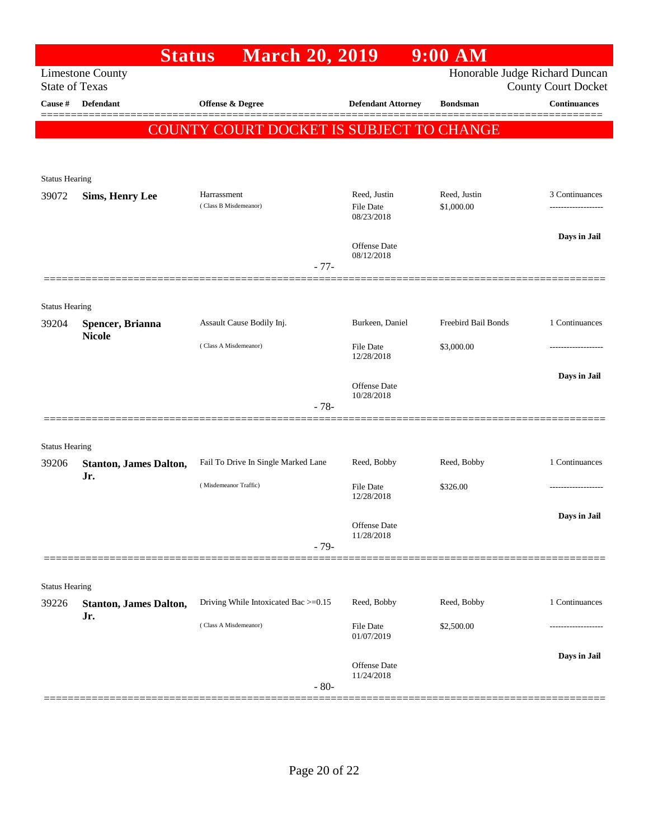|                                | <b>Status</b>                        | <b>March 20, 2019</b>                    |                                | $9:00$ AM           |                                                              |
|--------------------------------|--------------------------------------|------------------------------------------|--------------------------------|---------------------|--------------------------------------------------------------|
| <b>State of Texas</b>          | <b>Limestone County</b>              |                                          |                                |                     | Honorable Judge Richard Duncan<br><b>County Court Docket</b> |
| Cause #                        | Defendant                            | Offense & Degree                         | <b>Defendant Attorney</b>      | <b>Bondsman</b>     | <b>Continuances</b>                                          |
|                                |                                      | COUNTY COURT DOCKET IS SUBJECT TO CHANGE |                                |                     |                                                              |
|                                |                                      |                                          |                                |                     |                                                              |
|                                |                                      |                                          |                                |                     |                                                              |
| <b>Status Hearing</b>          |                                      | Harrassment                              | Reed, Justin                   | Reed, Justin        | 3 Continuances                                               |
| 39072                          | <b>Sims, Henry Lee</b>               | (Class B Misdemeanor)                    | <b>File Date</b>               | \$1,000.00          | .                                                            |
|                                |                                      |                                          | 08/23/2018                     |                     |                                                              |
|                                |                                      |                                          | Offense Date<br>08/12/2018     |                     | Days in Jail                                                 |
|                                |                                      | $-77-$                                   |                                |                     |                                                              |
|                                |                                      |                                          |                                |                     |                                                              |
| <b>Status Hearing</b>          |                                      |                                          |                                |                     |                                                              |
| 39204                          | Spencer, Brianna<br><b>Nicole</b>    | Assault Cause Bodily Inj.                | Burkeen, Daniel                | Freebird Bail Bonds | 1 Continuances                                               |
|                                |                                      | (Class A Misdemeanor)                    | <b>File Date</b><br>12/28/2018 | \$3,000.00          |                                                              |
|                                |                                      |                                          |                                |                     | Days in Jail                                                 |
|                                |                                      |                                          | Offense Date<br>10/28/2018     |                     |                                                              |
|                                |                                      | $-78-$                                   |                                |                     |                                                              |
|                                |                                      |                                          |                                |                     |                                                              |
| <b>Status Hearing</b>          |                                      |                                          |                                |                     |                                                              |
| 39206                          | <b>Stanton, James Dalton,</b><br>Jr. | Fail To Drive In Single Marked Lane      | Reed, Bobby                    | Reed, Bobby         | 1 Continuances                                               |
|                                |                                      | (Misdemeanor Traffic)                    | <b>File Date</b><br>12/28/2018 | \$326.00            |                                                              |
|                                |                                      |                                          |                                |                     | Days in Jail                                                 |
|                                |                                      |                                          | Offense Date<br>11/28/2018     |                     |                                                              |
|                                |                                      | $-79-$                                   |                                |                     |                                                              |
|                                |                                      |                                          |                                |                     |                                                              |
| <b>Status Hearing</b><br>39226 |                                      | Driving While Intoxicated Bac >=0.15     | Reed, Bobby                    | Reed, Bobby         | 1 Continuances                                               |
|                                | <b>Stanton, James Dalton,</b><br>Jr. |                                          |                                |                     |                                                              |
|                                |                                      | (Class A Misdemeanor)                    | File Date<br>01/07/2019        | \$2,500.00          |                                                              |
|                                |                                      |                                          |                                |                     | Days in Jail                                                 |
|                                |                                      |                                          | Offense Date<br>11/24/2018     |                     |                                                              |
|                                |                                      | $-80-$                                   |                                |                     |                                                              |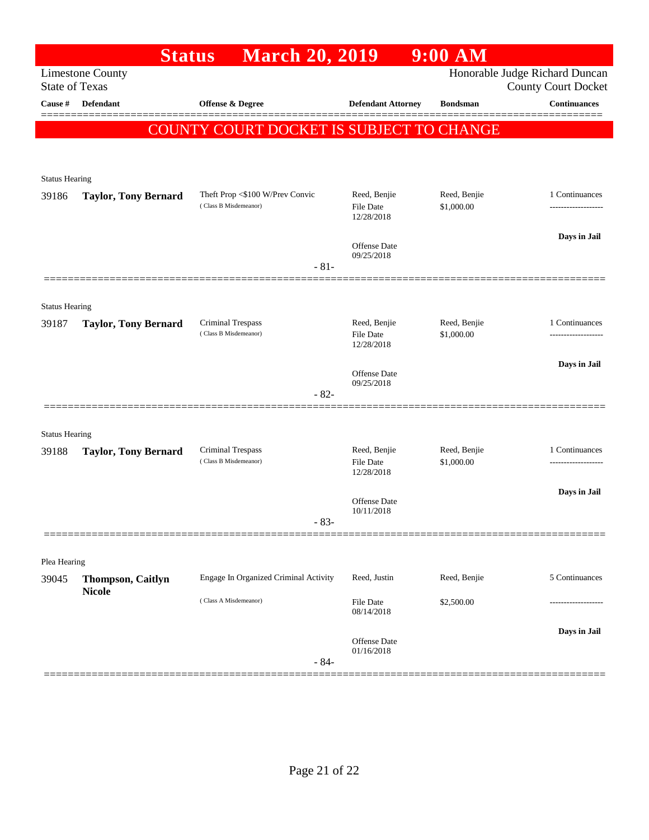|                                     | <b>Status</b>               | <b>March 20, 2019</b>                      |                                  | $9:00$ AM                  |                                                   |
|-------------------------------------|-----------------------------|--------------------------------------------|----------------------------------|----------------------------|---------------------------------------------------|
|                                     | <b>Limestone County</b>     |                                            |                                  |                            | Honorable Judge Richard Duncan                    |
| <b>State of Texas</b><br>Cause $\#$ | <b>Defendant</b>            | Offense & Degree                           | <b>Defendant Attorney</b>        | <b>Bondsman</b>            | <b>County Court Docket</b><br><b>Continuances</b> |
|                                     |                             |                                            |                                  |                            |                                                   |
|                                     |                             | COUNTY COURT DOCKET IS SUBJECT TO CHANGE   |                                  |                            |                                                   |
|                                     |                             |                                            |                                  |                            |                                                   |
| <b>Status Hearing</b>               |                             |                                            |                                  |                            |                                                   |
| 39186                               | <b>Taylor, Tony Bernard</b> | Theft Prop <\$100 W/Prev Convic            | Reed, Benjie                     | Reed, Benjie               | 1 Continuances                                    |
|                                     |                             | (Class B Misdemeanor)                      | File Date<br>12/28/2018          | \$1,000.00                 |                                                   |
|                                     |                             |                                            |                                  |                            | Days in Jail                                      |
|                                     |                             |                                            | Offense Date<br>09/25/2018       |                            |                                                   |
|                                     |                             | $-81-$                                     |                                  |                            |                                                   |
|                                     |                             |                                            |                                  |                            |                                                   |
| <b>Status Hearing</b>               |                             |                                            |                                  |                            |                                                   |
| 39187                               | <b>Taylor, Tony Bernard</b> | Criminal Trespass<br>(Class B Misdemeanor) | Reed, Benjie<br><b>File Date</b> | Reed, Benjie<br>\$1,000.00 | 1 Continuances<br>                                |
|                                     |                             |                                            | 12/28/2018                       |                            |                                                   |
|                                     |                             |                                            | Offense Date                     |                            | Days in Jail                                      |
|                                     |                             | $-82-$                                     | 09/25/2018                       |                            |                                                   |
|                                     |                             |                                            |                                  |                            |                                                   |
| <b>Status Hearing</b>               |                             |                                            |                                  |                            |                                                   |
| 39188                               | <b>Taylor, Tony Bernard</b> | Criminal Trespass<br>(Class B Misdemeanor) | Reed, Benjie                     | Reed, Benjie               | 1 Continuances                                    |
|                                     |                             |                                            | <b>File Date</b><br>12/28/2018   | \$1,000.00                 |                                                   |
|                                     |                             |                                            |                                  |                            | Days in Jail                                      |
|                                     |                             |                                            | Offense Date<br>10/11/2018       |                            |                                                   |
|                                     |                             | $-83-$                                     |                                  |                            |                                                   |
|                                     |                             |                                            |                                  |                            |                                                   |
| Plea Hearing<br>39045               | <b>Thompson, Caitlyn</b>    | Engage In Organized Criminal Activity      | Reed, Justin                     | Reed, Benjie               | 5 Continuances                                    |
|                                     | <b>Nicole</b>               | (Class A Misdemeanor)                      |                                  |                            |                                                   |
|                                     |                             |                                            | File Date<br>08/14/2018          | \$2,500.00                 |                                                   |
|                                     |                             |                                            |                                  |                            | Days in Jail                                      |
|                                     |                             |                                            | Offense Date<br>01/16/2018       |                            |                                                   |
|                                     |                             | $-84-$                                     |                                  |                            |                                                   |